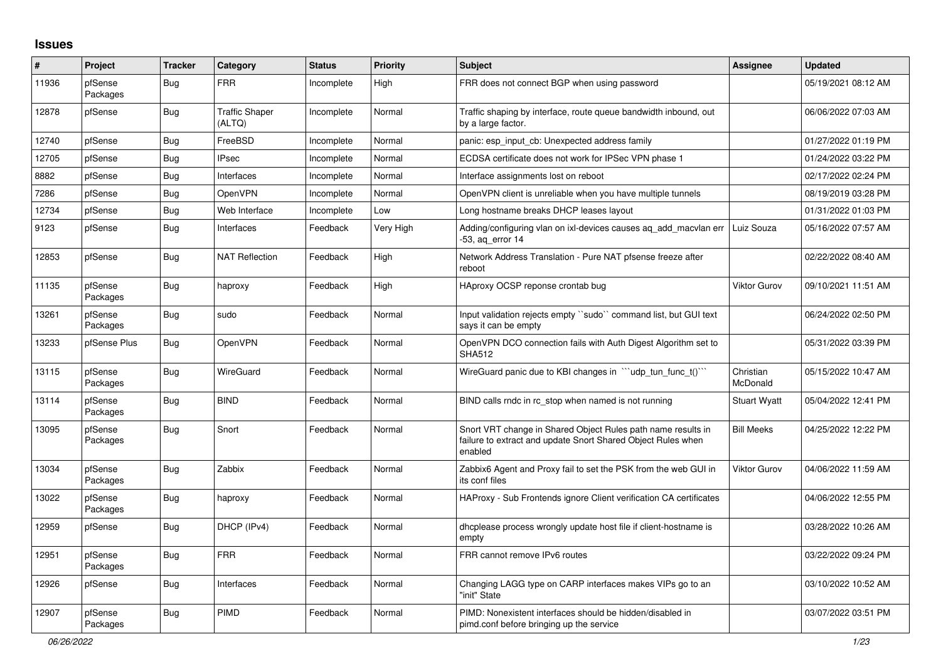## **Issues**

| $\vert$ # | Project             | <b>Tracker</b> | Category                        | <b>Status</b> | <b>Priority</b> | <b>Subject</b>                                                                                                                          | <b>Assignee</b>       | <b>Updated</b>      |
|-----------|---------------------|----------------|---------------------------------|---------------|-----------------|-----------------------------------------------------------------------------------------------------------------------------------------|-----------------------|---------------------|
| 11936     | pfSense<br>Packages | Bug            | <b>FRR</b>                      | Incomplete    | High            | FRR does not connect BGP when using password                                                                                            |                       | 05/19/2021 08:12 AM |
| 12878     | pfSense             | Bug            | <b>Traffic Shaper</b><br>(ALTQ) | Incomplete    | Normal          | Traffic shaping by interface, route queue bandwidth inbound, out<br>by a large factor.                                                  |                       | 06/06/2022 07:03 AM |
| 12740     | pfSense             | Bug            | FreeBSD                         | Incomplete    | Normal          | panic: esp input cb: Unexpected address family                                                                                          |                       | 01/27/2022 01:19 PM |
| 12705     | pfSense             | <b>Bug</b>     | <b>IPsec</b>                    | Incomplete    | Normal          | ECDSA certificate does not work for IPSec VPN phase 1                                                                                   |                       | 01/24/2022 03:22 PM |
| 8882      | pfSense             | Bug            | Interfaces                      | Incomplete    | Normal          | Interface assignments lost on reboot                                                                                                    |                       | 02/17/2022 02:24 PM |
| 7286      | pfSense             | Bug            | <b>OpenVPN</b>                  | Incomplete    | Normal          | OpenVPN client is unreliable when you have multiple tunnels                                                                             |                       | 08/19/2019 03:28 PM |
| 12734     | pfSense             | <b>Bug</b>     | Web Interface                   | Incomplete    | Low             | Long hostname breaks DHCP leases layout                                                                                                 |                       | 01/31/2022 01:03 PM |
| 9123      | pfSense             | <b>Bug</b>     | Interfaces                      | Feedback      | Very High       | Adding/configuring vlan on ixl-devices causes ag add macvlan err<br>-53, ag error 14                                                    | Luiz Souza            | 05/16/2022 07:57 AM |
| 12853     | pfSense             | Bug            | <b>NAT Reflection</b>           | Feedback      | High            | Network Address Translation - Pure NAT pfsense freeze after<br>reboot                                                                   |                       | 02/22/2022 08:40 AM |
| 11135     | pfSense<br>Packages | Bug            | haproxy                         | Feedback      | High            | HAproxy OCSP reponse crontab bug                                                                                                        | <b>Viktor Gurov</b>   | 09/10/2021 11:51 AM |
| 13261     | pfSense<br>Packages | Bug            | sudo                            | Feedback      | Normal          | Input validation rejects empty "sudo" command list, but GUI text<br>says it can be empty                                                |                       | 06/24/2022 02:50 PM |
| 13233     | pfSense Plus        | Bug            | <b>OpenVPN</b>                  | Feedback      | Normal          | OpenVPN DCO connection fails with Auth Digest Algorithm set to<br><b>SHA512</b>                                                         |                       | 05/31/2022 03:39 PM |
| 13115     | pfSense<br>Packages | Bug            | WireGuard                       | Feedback      | Normal          | WireGuard panic due to KBI changes in "'udp_tun_func_t()'"                                                                              | Christian<br>McDonald | 05/15/2022 10:47 AM |
| 13114     | pfSense<br>Packages | <b>Bug</b>     | <b>BIND</b>                     | Feedback      | Normal          | BIND calls rndc in rc_stop when named is not running                                                                                    | <b>Stuart Wyatt</b>   | 05/04/2022 12:41 PM |
| 13095     | pfSense<br>Packages | Bug            | Snort                           | Feedback      | Normal          | Snort VRT change in Shared Object Rules path name results in<br>failure to extract and update Snort Shared Object Rules when<br>enabled | <b>Bill Meeks</b>     | 04/25/2022 12:22 PM |
| 13034     | pfSense<br>Packages | <b>Bug</b>     | Zabbix                          | Feedback      | Normal          | Zabbix6 Agent and Proxy fail to set the PSK from the web GUI in<br>its conf files                                                       | <b>Viktor Gurov</b>   | 04/06/2022 11:59 AM |
| 13022     | pfSense<br>Packages | Bug            | haproxy                         | Feedback      | Normal          | HAProxy - Sub Frontends ignore Client verification CA certificates                                                                      |                       | 04/06/2022 12:55 PM |
| 12959     | pfSense             | <b>Bug</b>     | DHCP (IPv4)                     | Feedback      | Normal          | dhcplease process wrongly update host file if client-hostname is<br>empty                                                               |                       | 03/28/2022 10:26 AM |
| 12951     | pfSense<br>Packages | <b>Bug</b>     | <b>FRR</b>                      | Feedback      | Normal          | FRR cannot remove IPv6 routes                                                                                                           |                       | 03/22/2022 09:24 PM |
| 12926     | pfSense             | Bug            | Interfaces                      | Feedback      | Normal          | Changing LAGG type on CARP interfaces makes VIPs go to an<br>"init" State                                                               |                       | 03/10/2022 10:52 AM |
| 12907     | pfSense<br>Packages | Bug            | PIMD                            | Feedback      | Normal          | PIMD: Nonexistent interfaces should be hidden/disabled in<br>pimd.conf before bringing up the service                                   |                       | 03/07/2022 03:51 PM |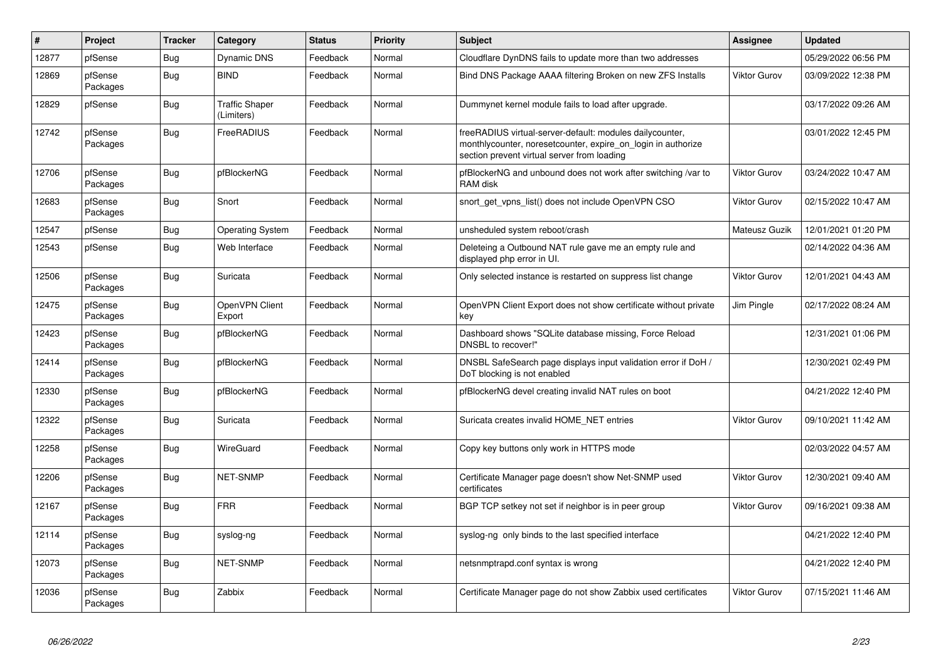| $\sharp$ | Project             | <b>Tracker</b> | Category                            | <b>Status</b> | <b>Priority</b> | <b>Subject</b>                                                                                                                                                          | <b>Assignee</b> | <b>Updated</b>      |
|----------|---------------------|----------------|-------------------------------------|---------------|-----------------|-------------------------------------------------------------------------------------------------------------------------------------------------------------------------|-----------------|---------------------|
| 12877    | pfSense             | Bug            | <b>Dynamic DNS</b>                  | Feedback      | Normal          | Cloudflare DynDNS fails to update more than two addresses                                                                                                               |                 | 05/29/2022 06:56 PM |
| 12869    | pfSense<br>Packages | <b>Bug</b>     | <b>BIND</b>                         | Feedback      | Normal          | Bind DNS Package AAAA filtering Broken on new ZFS Installs                                                                                                              | Viktor Gurov    | 03/09/2022 12:38 PM |
| 12829    | pfSense             | Bug            | <b>Traffic Shaper</b><br>(Limiters) | Feedback      | Normal          | Dummynet kernel module fails to load after upgrade.                                                                                                                     |                 | 03/17/2022 09:26 AM |
| 12742    | pfSense<br>Packages | <b>Bug</b>     | FreeRADIUS                          | Feedback      | Normal          | freeRADIUS virtual-server-default: modules dailycounter,<br>monthlycounter, noresetcounter, expire on login in authorize<br>section prevent virtual server from loading |                 | 03/01/2022 12:45 PM |
| 12706    | pfSense<br>Packages | Bug            | pfBlockerNG                         | Feedback      | Normal          | pfBlockerNG and unbound does not work after switching /var to<br>RAM disk                                                                                               | Viktor Gurov    | 03/24/2022 10:47 AM |
| 12683    | pfSense<br>Packages | <b>Bug</b>     | Snort                               | Feedback      | Normal          | snort_get_vpns_list() does not include OpenVPN CSO                                                                                                                      | Viktor Gurov    | 02/15/2022 10:47 AM |
| 12547    | pfSense             | <b>Bug</b>     | <b>Operating System</b>             | Feedback      | Normal          | unsheduled system reboot/crash                                                                                                                                          | Mateusz Guzik   | 12/01/2021 01:20 PM |
| 12543    | pfSense             | <b>Bug</b>     | Web Interface                       | Feedback      | Normal          | Deleteing a Outbound NAT rule gave me an empty rule and<br>displayed php error in UI.                                                                                   |                 | 02/14/2022 04:36 AM |
| 12506    | pfSense<br>Packages | <b>Bug</b>     | Suricata                            | Feedback      | Normal          | Only selected instance is restarted on suppress list change                                                                                                             | Viktor Gurov    | 12/01/2021 04:43 AM |
| 12475    | pfSense<br>Packages | <b>Bug</b>     | OpenVPN Client<br>Export            | Feedback      | Normal          | OpenVPN Client Export does not show certificate without private<br>kev                                                                                                  | Jim Pingle      | 02/17/2022 08:24 AM |
| 12423    | pfSense<br>Packages | <b>Bug</b>     | pfBlockerNG                         | Feedback      | Normal          | Dashboard shows "SQLite database missing, Force Reload<br>DNSBL to recover!"                                                                                            |                 | 12/31/2021 01:06 PM |
| 12414    | pfSense<br>Packages | <b>Bug</b>     | pfBlockerNG                         | Feedback      | Normal          | DNSBL SafeSearch page displays input validation error if DoH /<br>DoT blocking is not enabled                                                                           |                 | 12/30/2021 02:49 PM |
| 12330    | pfSense<br>Packages | <b>Bug</b>     | pfBlockerNG                         | Feedback      | Normal          | pfBlockerNG devel creating invalid NAT rules on boot                                                                                                                    |                 | 04/21/2022 12:40 PM |
| 12322    | pfSense<br>Packages | <b>Bug</b>     | Suricata                            | Feedback      | Normal          | Suricata creates invalid HOME_NET entries                                                                                                                               | Viktor Gurov    | 09/10/2021 11:42 AM |
| 12258    | pfSense<br>Packages | <b>Bug</b>     | WireGuard                           | Feedback      | Normal          | Copy key buttons only work in HTTPS mode                                                                                                                                |                 | 02/03/2022 04:57 AM |
| 12206    | pfSense<br>Packages | <b>Bug</b>     | NET-SNMP                            | Feedback      | Normal          | Certificate Manager page doesn't show Net-SNMP used<br>certificates                                                                                                     | Viktor Gurov    | 12/30/2021 09:40 AM |
| 12167    | pfSense<br>Packages | <b>Bug</b>     | <b>FRR</b>                          | Feedback      | Normal          | BGP TCP setkey not set if neighbor is in peer group                                                                                                                     | Viktor Gurov    | 09/16/2021 09:38 AM |
| 12114    | pfSense<br>Packages | <b>Bug</b>     | syslog-ng                           | Feedback      | Normal          | syslog-ng only binds to the last specified interface                                                                                                                    |                 | 04/21/2022 12:40 PM |
| 12073    | pfSense<br>Packages | <b>Bug</b>     | NET-SNMP                            | Feedback      | Normal          | netsnmptrapd.conf syntax is wrong                                                                                                                                       |                 | 04/21/2022 12:40 PM |
| 12036    | pfSense<br>Packages | <b>Bug</b>     | Zabbix                              | Feedback      | Normal          | Certificate Manager page do not show Zabbix used certificates                                                                                                           | Viktor Gurov    | 07/15/2021 11:46 AM |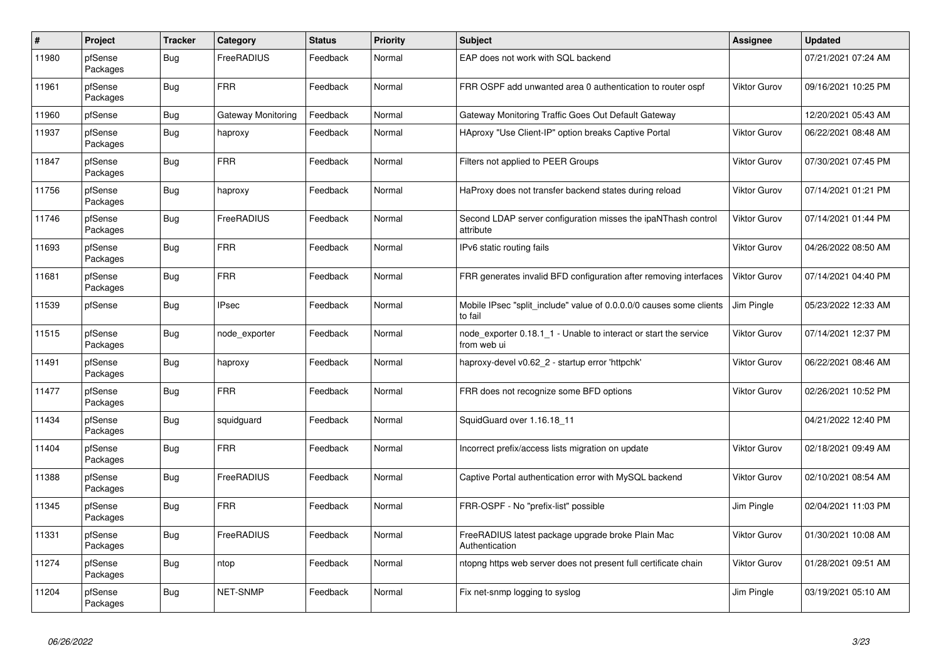| $\pmb{\#}$ | Project             | <b>Tracker</b> | Category           | <b>Status</b> | Priority | <b>Subject</b>                                                                  | Assignee            | <b>Updated</b>      |
|------------|---------------------|----------------|--------------------|---------------|----------|---------------------------------------------------------------------------------|---------------------|---------------------|
| 11980      | pfSense<br>Packages | <b>Bug</b>     | FreeRADIUS         | Feedback      | Normal   | EAP does not work with SQL backend                                              |                     | 07/21/2021 07:24 AM |
| 11961      | pfSense<br>Packages | Bug            | <b>FRR</b>         | Feedback      | Normal   | FRR OSPF add unwanted area 0 authentication to router ospf                      | <b>Viktor Gurov</b> | 09/16/2021 10:25 PM |
| 11960      | pfSense             | <b>Bug</b>     | Gateway Monitoring | Feedback      | Normal   | Gateway Monitoring Traffic Goes Out Default Gateway                             |                     | 12/20/2021 05:43 AM |
| 11937      | pfSense<br>Packages | Bug            | haproxy            | Feedback      | Normal   | HAproxy "Use Client-IP" option breaks Captive Portal                            | Viktor Gurov        | 06/22/2021 08:48 AM |
| 11847      | pfSense<br>Packages | <b>Bug</b>     | <b>FRR</b>         | Feedback      | Normal   | Filters not applied to PEER Groups                                              | <b>Viktor Gurov</b> | 07/30/2021 07:45 PM |
| 11756      | pfSense<br>Packages | <b>Bug</b>     | haproxy            | Feedback      | Normal   | HaProxy does not transfer backend states during reload                          | Viktor Gurov        | 07/14/2021 01:21 PM |
| 11746      | pfSense<br>Packages | <b>Bug</b>     | FreeRADIUS         | Feedback      | Normal   | Second LDAP server configuration misses the ipaNThash control<br>attribute      | Viktor Gurov        | 07/14/2021 01:44 PM |
| 11693      | pfSense<br>Packages | <b>Bug</b>     | <b>FRR</b>         | Feedback      | Normal   | IPv6 static routing fails                                                       | Viktor Gurov        | 04/26/2022 08:50 AM |
| 11681      | pfSense<br>Packages | <b>Bug</b>     | <b>FRR</b>         | Feedback      | Normal   | FRR generates invalid BFD configuration after removing interfaces               | Viktor Gurov        | 07/14/2021 04:40 PM |
| 11539      | pfSense             | <b>Bug</b>     | <b>IPsec</b>       | Feedback      | Normal   | Mobile IPsec "split include" value of 0.0.0.0/0 causes some clients<br>to fail  | Jim Pingle          | 05/23/2022 12:33 AM |
| 11515      | pfSense<br>Packages | Bug            | node exporter      | Feedback      | Normal   | node exporter 0.18.1 1 - Unable to interact or start the service<br>from web ui | Viktor Gurov        | 07/14/2021 12:37 PM |
| 11491      | pfSense<br>Packages | <b>Bug</b>     | haproxy            | Feedback      | Normal   | haproxy-devel v0.62 2 - startup error 'httpchk'                                 | <b>Viktor Gurov</b> | 06/22/2021 08:46 AM |
| 11477      | pfSense<br>Packages | <b>Bug</b>     | <b>FRR</b>         | Feedback      | Normal   | FRR does not recognize some BFD options                                         | Viktor Gurov        | 02/26/2021 10:52 PM |
| 11434      | pfSense<br>Packages | <b>Bug</b>     | squidguard         | Feedback      | Normal   | SquidGuard over 1.16.18 11                                                      |                     | 04/21/2022 12:40 PM |
| 11404      | pfSense<br>Packages | <b>Bug</b>     | <b>FRR</b>         | Feedback      | Normal   | Incorrect prefix/access lists migration on update                               | <b>Viktor Gurov</b> | 02/18/2021 09:49 AM |
| 11388      | pfSense<br>Packages | <b>Bug</b>     | FreeRADIUS         | Feedback      | Normal   | Captive Portal authentication error with MySQL backend                          | Viktor Gurov        | 02/10/2021 08:54 AM |
| 11345      | pfSense<br>Packages | <b>Bug</b>     | <b>FRR</b>         | Feedback      | Normal   | FRR-OSPF - No "prefix-list" possible                                            | Jim Pingle          | 02/04/2021 11:03 PM |
| 11331      | pfSense<br>Packages | Bug            | FreeRADIUS         | Feedback      | Normal   | FreeRADIUS latest package upgrade broke Plain Mac<br>Authentication             | <b>Viktor Gurov</b> | 01/30/2021 10:08 AM |
| 11274      | pfSense<br>Packages | Bug            | ntop               | Feedback      | Normal   | ntopng https web server does not present full certificate chain                 | <b>Viktor Gurov</b> | 01/28/2021 09:51 AM |
| 11204      | pfSense<br>Packages | <b>Bug</b>     | <b>NET-SNMP</b>    | Feedback      | Normal   | Fix net-snmp logging to syslog                                                  | Jim Pingle          | 03/19/2021 05:10 AM |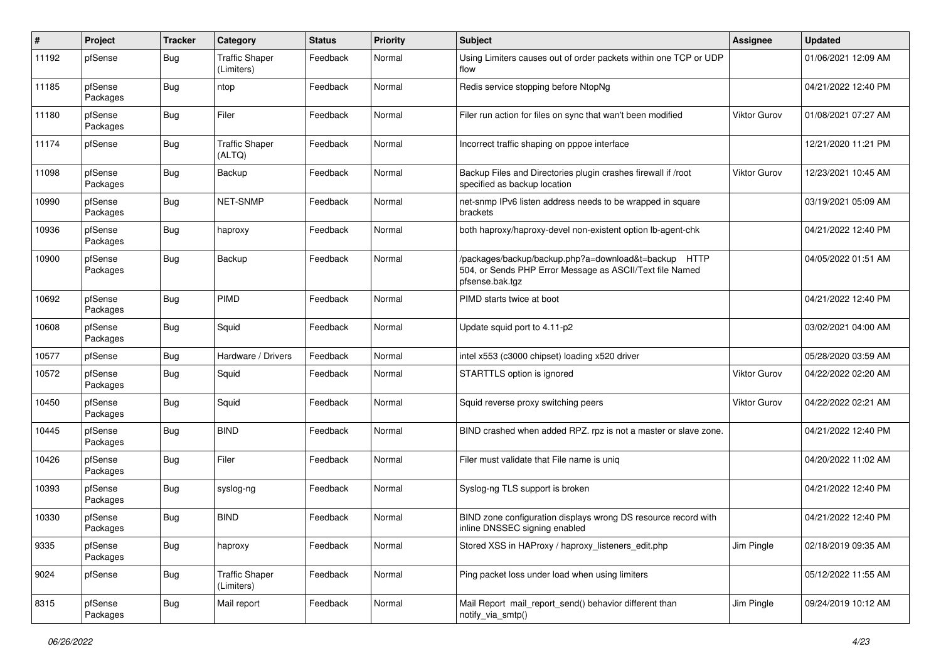| $\sharp$ | Project             | <b>Tracker</b> | Category                            | <b>Status</b> | <b>Priority</b> | Subject                                                                                                                             | <b>Assignee</b>     | <b>Updated</b>      |
|----------|---------------------|----------------|-------------------------------------|---------------|-----------------|-------------------------------------------------------------------------------------------------------------------------------------|---------------------|---------------------|
| 11192    | pfSense             | <b>Bug</b>     | <b>Traffic Shaper</b><br>(Limiters) | Feedback      | Normal          | Using Limiters causes out of order packets within one TCP or UDP<br>flow                                                            |                     | 01/06/2021 12:09 AM |
| 11185    | pfSense<br>Packages | <b>Bug</b>     | ntop                                | Feedback      | Normal          | Redis service stopping before NtopNg                                                                                                |                     | 04/21/2022 12:40 PM |
| 11180    | pfSense<br>Packages | <b>Bug</b>     | Filer                               | Feedback      | Normal          | Filer run action for files on sync that wan't been modified                                                                         | <b>Viktor Gurov</b> | 01/08/2021 07:27 AM |
| 11174    | pfSense             | <b>Bug</b>     | <b>Traffic Shaper</b><br>(ALTQ)     | Feedback      | Normal          | Incorrect traffic shaping on pppoe interface                                                                                        |                     | 12/21/2020 11:21 PM |
| 11098    | pfSense<br>Packages | Bug            | Backup                              | Feedback      | Normal          | Backup Files and Directories plugin crashes firewall if /root<br>specified as backup location                                       | <b>Viktor Gurov</b> | 12/23/2021 10:45 AM |
| 10990    | pfSense<br>Packages | <b>Bug</b>     | NET-SNMP                            | Feedback      | Normal          | net-snmp IPv6 listen address needs to be wrapped in square<br>brackets                                                              |                     | 03/19/2021 05:09 AM |
| 10936    | pfSense<br>Packages | <b>Bug</b>     | haproxy                             | Feedback      | Normal          | both haproxy/haproxy-devel non-existent option lb-agent-chk                                                                         |                     | 04/21/2022 12:40 PM |
| 10900    | pfSense<br>Packages | <b>Bug</b>     | Backup                              | Feedback      | Normal          | /packages/backup/backup.php?a=download&t=backup HTTP<br>504, or Sends PHP Error Message as ASCII/Text file Named<br>pfsense.bak.tgz |                     | 04/05/2022 01:51 AM |
| 10692    | pfSense<br>Packages | <b>Bug</b>     | PIMD                                | Feedback      | Normal          | PIMD starts twice at boot                                                                                                           |                     | 04/21/2022 12:40 PM |
| 10608    | pfSense<br>Packages | Bug            | Squid                               | Feedback      | Normal          | Update squid port to 4.11-p2                                                                                                        |                     | 03/02/2021 04:00 AM |
| 10577    | pfSense             | <b>Bug</b>     | Hardware / Drivers                  | Feedback      | Normal          | intel x553 (c3000 chipset) loading x520 driver                                                                                      |                     | 05/28/2020 03:59 AM |
| 10572    | pfSense<br>Packages | <b>Bug</b>     | Squid                               | Feedback      | Normal          | STARTTLS option is ignored                                                                                                          | <b>Viktor Gurov</b> | 04/22/2022 02:20 AM |
| 10450    | pfSense<br>Packages | <b>Bug</b>     | Squid                               | Feedback      | Normal          | Squid reverse proxy switching peers                                                                                                 | <b>Viktor Gurov</b> | 04/22/2022 02:21 AM |
| 10445    | pfSense<br>Packages | <b>Bug</b>     | <b>BIND</b>                         | Feedback      | Normal          | BIND crashed when added RPZ. rpz is not a master or slave zone.                                                                     |                     | 04/21/2022 12:40 PM |
| 10426    | pfSense<br>Packages | <b>Bug</b>     | Filer                               | Feedback      | Normal          | Filer must validate that File name is uniq                                                                                          |                     | 04/20/2022 11:02 AM |
| 10393    | pfSense<br>Packages | Bug            | syslog-ng                           | Feedback      | Normal          | Syslog-ng TLS support is broken                                                                                                     |                     | 04/21/2022 12:40 PM |
| 10330    | pfSense<br>Packages | <b>Bug</b>     | <b>BIND</b>                         | Feedback      | Normal          | BIND zone configuration displays wrong DS resource record with<br>inline DNSSEC signing enabled                                     |                     | 04/21/2022 12:40 PM |
| 9335     | pfSense<br>Packages | <b>Bug</b>     | haproxy                             | Feedback      | Normal          | Stored XSS in HAProxy / haproxy listeners edit.php                                                                                  | Jim Pingle          | 02/18/2019 09:35 AM |
| 9024     | pfSense             | <b>Bug</b>     | <b>Traffic Shaper</b><br>(Limiters) | Feedback      | Normal          | Ping packet loss under load when using limiters                                                                                     |                     | 05/12/2022 11:55 AM |
| 8315     | pfSense<br>Packages | Bug            | Mail report                         | Feedback      | Normal          | Mail Report mail report send() behavior different than<br>notify_via_smtp()                                                         | Jim Pingle          | 09/24/2019 10:12 AM |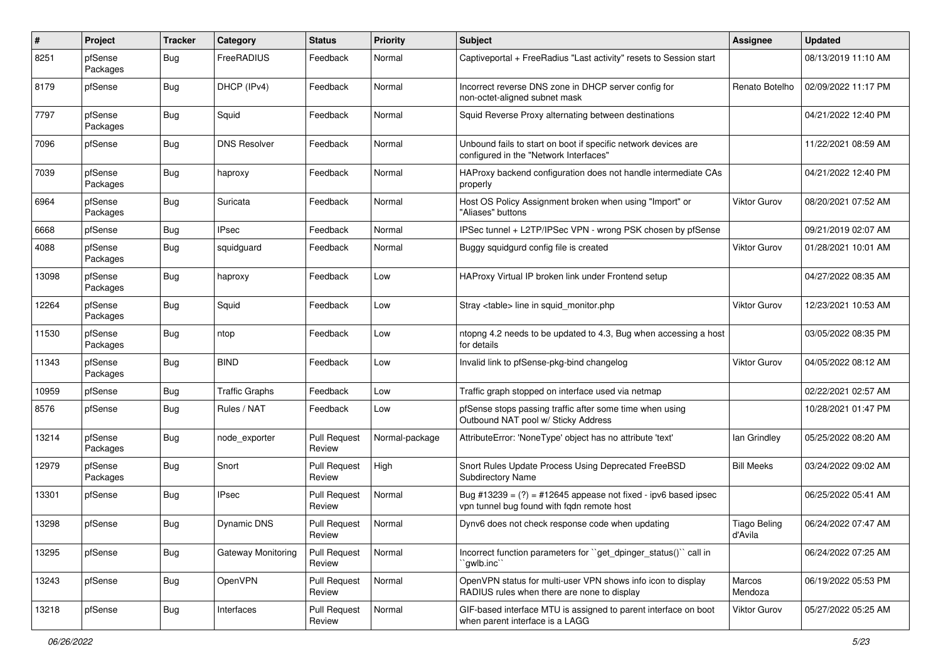| $\pmb{\#}$ | Project             | <b>Tracker</b> | Category              | <b>Status</b>                        | <b>Priority</b> | <b>Subject</b>                                                                                                 | <b>Assignee</b>                | <b>Updated</b>      |
|------------|---------------------|----------------|-----------------------|--------------------------------------|-----------------|----------------------------------------------------------------------------------------------------------------|--------------------------------|---------------------|
| 8251       | pfSense<br>Packages | Bug            | FreeRADIUS            | Feedback                             | Normal          | Captiveportal + FreeRadius "Last activity" resets to Session start                                             |                                | 08/13/2019 11:10 AM |
| 8179       | pfSense             | Bug            | DHCP (IPv4)           | Feedback                             | Normal          | Incorrect reverse DNS zone in DHCP server config for<br>non-octet-aligned subnet mask                          | Renato Botelho                 | 02/09/2022 11:17 PM |
| 7797       | pfSense<br>Packages | Bug            | Squid                 | Feedback                             | Normal          | Squid Reverse Proxy alternating between destinations                                                           |                                | 04/21/2022 12:40 PM |
| 7096       | pfSense             | Bug            | <b>DNS Resolver</b>   | Feedback                             | Normal          | Unbound fails to start on boot if specific network devices are<br>configured in the "Network Interfaces"       |                                | 11/22/2021 08:59 AM |
| 7039       | pfSense<br>Packages | Bug            | haproxy               | Feedback                             | Normal          | HAProxy backend configuration does not handle intermediate CAs<br>properly                                     |                                | 04/21/2022 12:40 PM |
| 6964       | pfSense<br>Packages | Bug            | Suricata              | Feedback                             | Normal          | Host OS Policy Assignment broken when using "Import" or<br>'Aliases" buttons                                   | <b>Viktor Gurov</b>            | 08/20/2021 07:52 AM |
| 6668       | pfSense             | <b>Bug</b>     | <b>IPsec</b>          | Feedback                             | Normal          | IPSec tunnel + L2TP/IPSec VPN - wrong PSK chosen by pfSense                                                    |                                | 09/21/2019 02:07 AM |
| 4088       | pfSense<br>Packages | Bug            | squidguard            | Feedback                             | Normal          | Buggy squidgurd config file is created                                                                         | Viktor Gurov                   | 01/28/2021 10:01 AM |
| 13098      | pfSense<br>Packages | <b>Bug</b>     | haproxy               | Feedback                             | Low             | HAProxy Virtual IP broken link under Frontend setup                                                            |                                | 04/27/2022 08:35 AM |
| 12264      | pfSense<br>Packages | Bug            | Squid                 | Feedback                             | Low             | Stray <table> line in squid monitor.php</table>                                                                | <b>Viktor Gurov</b>            | 12/23/2021 10:53 AM |
| 11530      | pfSense<br>Packages | Bug            | ntop                  | Feedback                             | Low             | ntopng 4.2 needs to be updated to 4.3, Bug when accessing a host<br>for details                                |                                | 03/05/2022 08:35 PM |
| 11343      | pfSense<br>Packages | Bug            | <b>BIND</b>           | Feedback                             | Low             | Invalid link to pfSense-pkg-bind changelog                                                                     | Viktor Gurov                   | 04/05/2022 08:12 AM |
| 10959      | pfSense             | Bug            | <b>Traffic Graphs</b> | Feedback                             | Low             | Traffic graph stopped on interface used via netmap                                                             |                                | 02/22/2021 02:57 AM |
| 8576       | pfSense             | Bug            | Rules / NAT           | Feedback                             | Low             | pfSense stops passing traffic after some time when using<br>Outbound NAT pool w/ Sticky Address                |                                | 10/28/2021 01:47 PM |
| 13214      | pfSense<br>Packages | Bug            | node exporter         | <b>Pull Request</b><br>Review        | Normal-package  | AttributeError: 'NoneType' object has no attribute 'text'                                                      | lan Grindley                   | 05/25/2022 08:20 AM |
| 12979      | pfSense<br>Packages | Bug            | Snort                 | <b>Pull Request</b><br>Review        | High            | Snort Rules Update Process Using Deprecated FreeBSD<br><b>Subdirectory Name</b>                                | <b>Bill Meeks</b>              | 03/24/2022 09:02 AM |
| 13301      | pfSense             | Bug            | <b>IPsec</b>          | <b>Pull Request</b><br>Review        | Normal          | Bug #13239 = $(?)$ = #12645 appease not fixed - ipv6 based ipsec<br>vpn tunnel bug found with fgdn remote host |                                | 06/25/2022 05:41 AM |
| 13298      | pfSense             | Bug            | <b>Dynamic DNS</b>    | <b>Pull Request</b><br><b>Heview</b> | Normal          | Dynv6 does not check response code when updating                                                               | <b>Tiago Beling</b><br>d'Avila | 06/24/2022 07:47 AM |
| 13295      | pfSense             | <b>Bug</b>     | Gateway Monitoring    | <b>Pull Request</b><br>Review        | Normal          | Incorrect function parameters for "get_dpinger_status()" call in<br>`gwlb.inc``                                |                                | 06/24/2022 07:25 AM |
| 13243      | pfSense             | <b>Bug</b>     | OpenVPN               | <b>Pull Request</b><br>Review        | Normal          | OpenVPN status for multi-user VPN shows info icon to display<br>RADIUS rules when there are none to display    | Marcos<br>Mendoza              | 06/19/2022 05:53 PM |
| 13218      | pfSense             | <b>Bug</b>     | Interfaces            | <b>Pull Request</b><br>Review        | Normal          | GIF-based interface MTU is assigned to parent interface on boot<br>when parent interface is a LAGG             | Viktor Gurov                   | 05/27/2022 05:25 AM |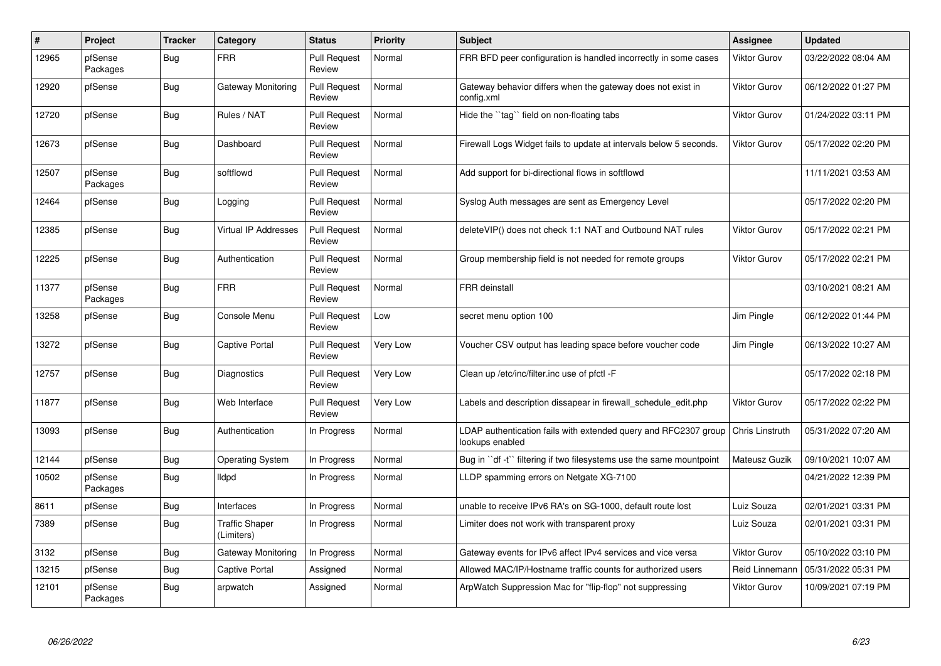| $\vert$ # | Project             | <b>Tracker</b> | Category                            | <b>Status</b>                 | <b>Priority</b> | <b>Subject</b>                                                                     | <b>Assignee</b>     | <b>Updated</b>      |
|-----------|---------------------|----------------|-------------------------------------|-------------------------------|-----------------|------------------------------------------------------------------------------------|---------------------|---------------------|
| 12965     | pfSense<br>Packages | <b>Bug</b>     | <b>FRR</b>                          | <b>Pull Request</b><br>Review | Normal          | FRR BFD peer configuration is handled incorrectly in some cases                    | <b>Viktor Gurov</b> | 03/22/2022 08:04 AM |
| 12920     | pfSense             | Bug            | Gateway Monitoring                  | <b>Pull Request</b><br>Review | Normal          | Gateway behavior differs when the gateway does not exist in<br>config.xml          | <b>Viktor Gurov</b> | 06/12/2022 01:27 PM |
| 12720     | pfSense             | <b>Bug</b>     | Rules / NAT                         | <b>Pull Request</b><br>Review | Normal          | Hide the "tag" field on non-floating tabs                                          | <b>Viktor Gurov</b> | 01/24/2022 03:11 PM |
| 12673     | pfSense             | <b>Bug</b>     | Dashboard                           | <b>Pull Request</b><br>Review | Normal          | Firewall Logs Widget fails to update at intervals below 5 seconds.                 | <b>Viktor Gurov</b> | 05/17/2022 02:20 PM |
| 12507     | pfSense<br>Packages | <b>Bug</b>     | softflowd                           | <b>Pull Request</b><br>Review | Normal          | Add support for bi-directional flows in softflowd                                  |                     | 11/11/2021 03:53 AM |
| 12464     | pfSense             | Bug            | Logging                             | <b>Pull Request</b><br>Review | Normal          | Syslog Auth messages are sent as Emergency Level                                   |                     | 05/17/2022 02:20 PM |
| 12385     | pfSense             | Bug            | Virtual IP Addresses                | <b>Pull Request</b><br>Review | Normal          | deleteVIP() does not check 1:1 NAT and Outbound NAT rules                          | <b>Viktor Gurov</b> | 05/17/2022 02:21 PM |
| 12225     | pfSense             | Bug            | Authentication                      | <b>Pull Request</b><br>Review | Normal          | Group membership field is not needed for remote groups                             | <b>Viktor Gurov</b> | 05/17/2022 02:21 PM |
| 11377     | pfSense<br>Packages | Bug            | <b>FRR</b>                          | <b>Pull Request</b><br>Review | Normal          | FRR deinstall                                                                      |                     | 03/10/2021 08:21 AM |
| 13258     | pfSense             | Bug            | Console Menu                        | <b>Pull Request</b><br>Review | Low             | secret menu option 100                                                             | Jim Pingle          | 06/12/2022 01:44 PM |
| 13272     | pfSense             | <b>Bug</b>     | <b>Captive Portal</b>               | <b>Pull Request</b><br>Review | Very Low        | Voucher CSV output has leading space before voucher code                           | Jim Pingle          | 06/13/2022 10:27 AM |
| 12757     | pfSense             | Bug            | <b>Diagnostics</b>                  | <b>Pull Request</b><br>Review | Very Low        | Clean up /etc/inc/filter.inc use of pfctl -F                                       |                     | 05/17/2022 02:18 PM |
| 11877     | pfSense             | Bug            | Web Interface                       | <b>Pull Request</b><br>Review | Very Low        | Labels and description dissapear in firewall schedule edit.php                     | <b>Viktor Gurov</b> | 05/17/2022 02:22 PM |
| 13093     | pfSense             | Bug            | Authentication                      | In Progress                   | Normal          | LDAP authentication fails with extended query and RFC2307 group<br>lookups enabled | Chris Linstruth     | 05/31/2022 07:20 AM |
| 12144     | pfSense             | <b>Bug</b>     | <b>Operating System</b>             | In Progress                   | Normal          | Bug in "df -t" filtering if two filesystems use the same mountpoint                | Mateusz Guzik       | 09/10/2021 10:07 AM |
| 10502     | pfSense<br>Packages | Bug            | <b>Ildpd</b>                        | In Progress                   | Normal          | LLDP spamming errors on Netgate XG-7100                                            |                     | 04/21/2022 12:39 PM |
| 8611      | pfSense             | <b>Bug</b>     | Interfaces                          | In Progress                   | Normal          | unable to receive IPv6 RA's on SG-1000, default route lost                         | Luiz Souza          | 02/01/2021 03:31 PM |
| 7389      | pfSense             | Bug            | <b>Traffic Shaper</b><br>(Limiters) | In Progress                   | Normal          | Limiter does not work with transparent proxy                                       | Luiz Souza          | 02/01/2021 03:31 PM |
| 3132      | pfSense             | <b>Bug</b>     | Gateway Monitoring                  | In Progress                   | Normal          | Gateway events for IPv6 affect IPv4 services and vice versa                        | <b>Viktor Gurov</b> | 05/10/2022 03:10 PM |
| 13215     | pfSense             | Bug            | Captive Portal                      | Assigned                      | Normal          | Allowed MAC/IP/Hostname traffic counts for authorized users                        | Reid Linnemann      | 05/31/2022 05:31 PM |
| 12101     | pfSense<br>Packages | Bug            | arpwatch                            | Assigned                      | Normal          | ArpWatch Suppression Mac for "flip-flop" not suppressing                           | <b>Viktor Gurov</b> | 10/09/2021 07:19 PM |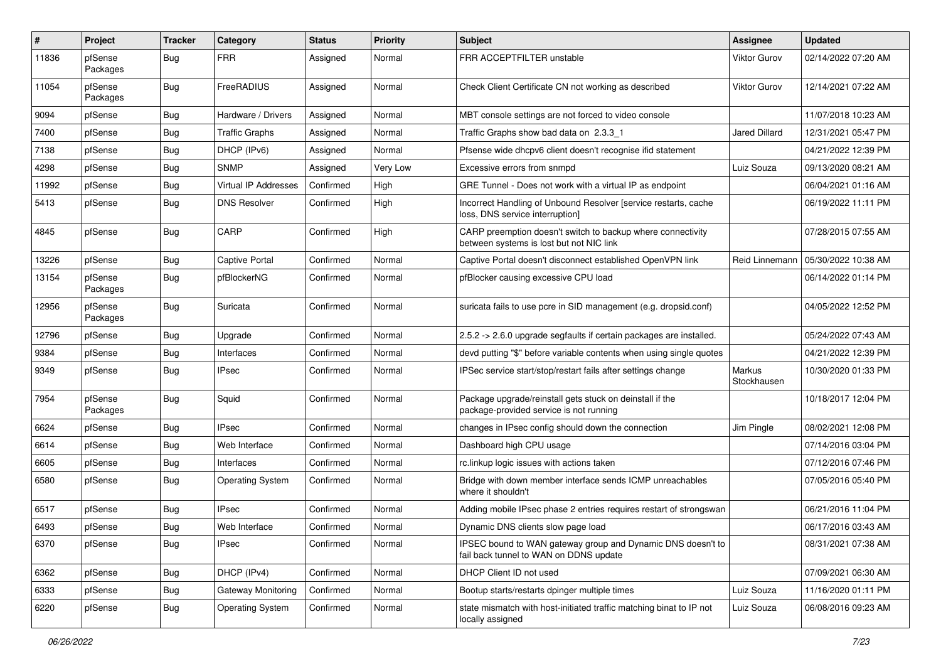| $\sharp$ | Project             | <b>Tracker</b> | Category                | <b>Status</b> | <b>Priority</b> | Subject                                                                                                 | Assignee              | <b>Updated</b>      |
|----------|---------------------|----------------|-------------------------|---------------|-----------------|---------------------------------------------------------------------------------------------------------|-----------------------|---------------------|
| 11836    | pfSense<br>Packages | Bug            | <b>FRR</b>              | Assigned      | Normal          | FRR ACCEPTFILTER unstable                                                                               | Viktor Gurov          | 02/14/2022 07:20 AM |
| 11054    | pfSense<br>Packages | Bug            | FreeRADIUS              | Assigned      | Normal          | Check Client Certificate CN not working as described                                                    | Viktor Gurov          | 12/14/2021 07:22 AM |
| 9094     | pfSense             | Bug            | Hardware / Drivers      | Assigned      | Normal          | MBT console settings are not forced to video console                                                    |                       | 11/07/2018 10:23 AM |
| 7400     | pfSense             | Bug            | <b>Traffic Graphs</b>   | Assigned      | Normal          | Traffic Graphs show bad data on 2.3.3 1                                                                 | Jared Dillard         | 12/31/2021 05:47 PM |
| 7138     | pfSense             | Bug            | DHCP (IPv6)             | Assigned      | Normal          | Pfsense wide dhcpv6 client doesn't recognise ifid statement                                             |                       | 04/21/2022 12:39 PM |
| 4298     | pfSense             | Bug            | <b>SNMP</b>             | Assigned      | Very Low        | Excessive errors from snmpd                                                                             | Luiz Souza            | 09/13/2020 08:21 AM |
| 11992    | pfSense             | Bug            | Virtual IP Addresses    | Confirmed     | High            | GRE Tunnel - Does not work with a virtual IP as endpoint                                                |                       | 06/04/2021 01:16 AM |
| 5413     | pfSense             | Bug            | <b>DNS Resolver</b>     | Confirmed     | High            | Incorrect Handling of Unbound Resolver [service restarts, cache<br>loss, DNS service interruption]      |                       | 06/19/2022 11:11 PM |
| 4845     | pfSense             | Bug            | CARP                    | Confirmed     | High            | CARP preemption doesn't switch to backup where connectivity<br>between systems is lost but not NIC link |                       | 07/28/2015 07:55 AM |
| 13226    | pfSense             | Bug            | Captive Portal          | Confirmed     | Normal          | Captive Portal doesn't disconnect established OpenVPN link                                              | Reid Linnemann        | 05/30/2022 10:38 AM |
| 13154    | pfSense<br>Packages | Bug            | pfBlockerNG             | Confirmed     | Normal          | pfBlocker causing excessive CPU load                                                                    |                       | 06/14/2022 01:14 PM |
| 12956    | pfSense<br>Packages | <b>Bug</b>     | Suricata                | Confirmed     | Normal          | suricata fails to use pcre in SID management (e.g. dropsid.conf)                                        |                       | 04/05/2022 12:52 PM |
| 12796    | pfSense             | Bug            | Upgrade                 | Confirmed     | Normal          | 2.5.2 -> 2.6.0 upgrade segfaults if certain packages are installed.                                     |                       | 05/24/2022 07:43 AM |
| 9384     | pfSense             | <b>Bug</b>     | Interfaces              | Confirmed     | Normal          | devd putting "\$" before variable contents when using single quotes                                     |                       | 04/21/2022 12:39 PM |
| 9349     | pfSense             | <b>Bug</b>     | <b>IPsec</b>            | Confirmed     | Normal          | IPSec service start/stop/restart fails after settings change                                            | Markus<br>Stockhausen | 10/30/2020 01:33 PM |
| 7954     | pfSense<br>Packages | Bug            | Squid                   | Confirmed     | Normal          | Package upgrade/reinstall gets stuck on deinstall if the<br>package-provided service is not running     |                       | 10/18/2017 12:04 PM |
| 6624     | pfSense             | Bug            | <b>IPsec</b>            | Confirmed     | Normal          | changes in IPsec config should down the connection                                                      | Jim Pingle            | 08/02/2021 12:08 PM |
| 6614     | pfSense             | Bug            | Web Interface           | Confirmed     | Normal          | Dashboard high CPU usage                                                                                |                       | 07/14/2016 03:04 PM |
| 6605     | pfSense             | Bug            | Interfaces              | Confirmed     | Normal          | rc.linkup logic issues with actions taken                                                               |                       | 07/12/2016 07:46 PM |
| 6580     | pfSense             | Bug            | <b>Operating System</b> | Confirmed     | Normal          | Bridge with down member interface sends ICMP unreachables<br>where it shouldn't                         |                       | 07/05/2016 05:40 PM |
| 6517     | pfSense             | Bug            | IPsec                   | Confirmed     | Normal          | Adding mobile IPsec phase 2 entries requires restart of strongswan                                      |                       | 06/21/2016 11:04 PM |
| 6493     | pfSense             | Bug            | Web Interface           | Confirmed     | Normal          | Dynamic DNS clients slow page load                                                                      |                       | 06/17/2016 03:43 AM |
| 6370     | pfSense             | <b>Bug</b>     | <b>IPsec</b>            | Confirmed     | Normal          | IPSEC bound to WAN gateway group and Dynamic DNS doesn't to<br>fail back tunnel to WAN on DDNS update   |                       | 08/31/2021 07:38 AM |
| 6362     | pfSense             | <b>Bug</b>     | DHCP (IPv4)             | Confirmed     | Normal          | DHCP Client ID not used                                                                                 |                       | 07/09/2021 06:30 AM |
| 6333     | pfSense             | <b>Bug</b>     | Gateway Monitoring      | Confirmed     | Normal          | Bootup starts/restarts dpinger multiple times                                                           | Luiz Souza            | 11/16/2020 01:11 PM |
| 6220     | pfSense             | <b>Bug</b>     | <b>Operating System</b> | Confirmed     | Normal          | state mismatch with host-initiated traffic matching binat to IP not<br>locally assigned                 | Luiz Souza            | 06/08/2016 09:23 AM |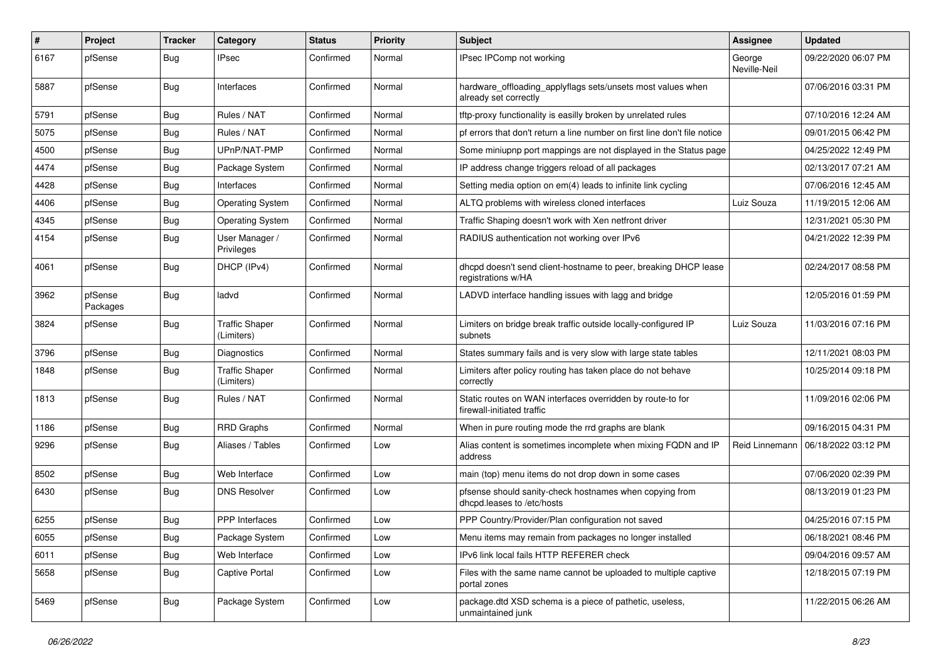| $\sharp$ | Project             | <b>Tracker</b> | Category                            | <b>Status</b> | <b>Priority</b> | <b>Subject</b>                                                                           | <b>Assignee</b>        | <b>Updated</b>      |
|----------|---------------------|----------------|-------------------------------------|---------------|-----------------|------------------------------------------------------------------------------------------|------------------------|---------------------|
| 6167     | pfSense             | <b>Bug</b>     | <b>IPsec</b>                        | Confirmed     | Normal          | IPsec IPComp not working                                                                 | George<br>Neville-Neil | 09/22/2020 06:07 PM |
| 5887     | pfSense             | <b>Bug</b>     | Interfaces                          | Confirmed     | Normal          | hardware_offloading_applyflags sets/unsets most values when<br>already set correctly     |                        | 07/06/2016 03:31 PM |
| 5791     | pfSense             | Bug            | Rules / NAT                         | Confirmed     | Normal          | tftp-proxy functionality is easilly broken by unrelated rules                            |                        | 07/10/2016 12:24 AM |
| 5075     | pfSense             | Bug            | Rules / NAT                         | Confirmed     | Normal          | pf errors that don't return a line number on first line don't file notice                |                        | 09/01/2015 06:42 PM |
| 4500     | pfSense             | <b>Bug</b>     | UPnP/NAT-PMP                        | Confirmed     | Normal          | Some miniupnp port mappings are not displayed in the Status page                         |                        | 04/25/2022 12:49 PM |
| 4474     | pfSense             | <b>Bug</b>     | Package System                      | Confirmed     | Normal          | IP address change triggers reload of all packages                                        |                        | 02/13/2017 07:21 AM |
| 4428     | pfSense             | <b>Bug</b>     | Interfaces                          | Confirmed     | Normal          | Setting media option on em(4) leads to infinite link cycling                             |                        | 07/06/2016 12:45 AM |
| 4406     | pfSense             | <b>Bug</b>     | <b>Operating System</b>             | Confirmed     | Normal          | ALTQ problems with wireless cloned interfaces                                            | Luiz Souza             | 11/19/2015 12:06 AM |
| 4345     | pfSense             | Bug            | <b>Operating System</b>             | Confirmed     | Normal          | Traffic Shaping doesn't work with Xen netfront driver                                    |                        | 12/31/2021 05:30 PM |
| 4154     | pfSense             | <b>Bug</b>     | User Manager /<br>Privileges        | Confirmed     | Normal          | RADIUS authentication not working over IPv6                                              |                        | 04/21/2022 12:39 PM |
| 4061     | pfSense             | <b>Bug</b>     | DHCP (IPv4)                         | Confirmed     | Normal          | dhcpd doesn't send client-hostname to peer, breaking DHCP lease<br>registrations w/HA    |                        | 02/24/2017 08:58 PM |
| 3962     | pfSense<br>Packages | <b>Bug</b>     | ladvd                               | Confirmed     | Normal          | LADVD interface handling issues with lagg and bridge                                     |                        | 12/05/2016 01:59 PM |
| 3824     | pfSense             | <b>Bug</b>     | <b>Traffic Shaper</b><br>(Limiters) | Confirmed     | Normal          | Limiters on bridge break traffic outside locally-configured IP<br>subnets                | Luiz Souza             | 11/03/2016 07:16 PM |
| 3796     | pfSense             | <b>Bug</b>     | Diagnostics                         | Confirmed     | Normal          | States summary fails and is very slow with large state tables                            |                        | 12/11/2021 08:03 PM |
| 1848     | pfSense             | <b>Bug</b>     | <b>Traffic Shaper</b><br>(Limiters) | Confirmed     | Normal          | Limiters after policy routing has taken place do not behave<br>correctly                 |                        | 10/25/2014 09:18 PM |
| 1813     | pfSense             | <b>Bug</b>     | Rules / NAT                         | Confirmed     | Normal          | Static routes on WAN interfaces overridden by route-to for<br>firewall-initiated traffic |                        | 11/09/2016 02:06 PM |
| 1186     | pfSense             | <b>Bug</b>     | RRD Graphs                          | Confirmed     | Normal          | When in pure routing mode the rrd graphs are blank                                       |                        | 09/16/2015 04:31 PM |
| 9296     | pfSense             | <b>Bug</b>     | Aliases / Tables                    | Confirmed     | Low             | Alias content is sometimes incomplete when mixing FQDN and IP<br>address                 | Reid Linnemann         | 06/18/2022 03:12 PM |
| 8502     | pfSense             | <b>Bug</b>     | Web Interface                       | Confirmed     | Low             | main (top) menu items do not drop down in some cases                                     |                        | 07/06/2020 02:39 PM |
| 6430     | pfSense             | <b>Bug</b>     | <b>DNS Resolver</b>                 | Confirmed     | Low             | pfsense should sanity-check hostnames when copying from<br>dhcpd.leases to /etc/hosts    |                        | 08/13/2019 01:23 PM |
| 6255     | pfSense             | <b>Bug</b>     | <b>PPP</b> Interfaces               | Confirmed     | Low             | PPP Country/Provider/Plan configuration not saved                                        |                        | 04/25/2016 07:15 PM |
| 6055     | pfSense             | Bug            | Package System                      | Confirmed     | Low             | Menu items may remain from packages no longer installed                                  |                        | 06/18/2021 08:46 PM |
| 6011     | pfSense             | Bug            | Web Interface                       | Confirmed     | Low             | IPv6 link local fails HTTP REFERER check                                                 |                        | 09/04/2016 09:57 AM |
| 5658     | pfSense             | Bug            | Captive Portal                      | Confirmed     | Low             | Files with the same name cannot be uploaded to multiple captive<br>portal zones          |                        | 12/18/2015 07:19 PM |
| 5469     | pfSense             | Bug            | Package System                      | Confirmed     | Low             | package.dtd XSD schema is a piece of pathetic, useless,<br>unmaintained junk             |                        | 11/22/2015 06:26 AM |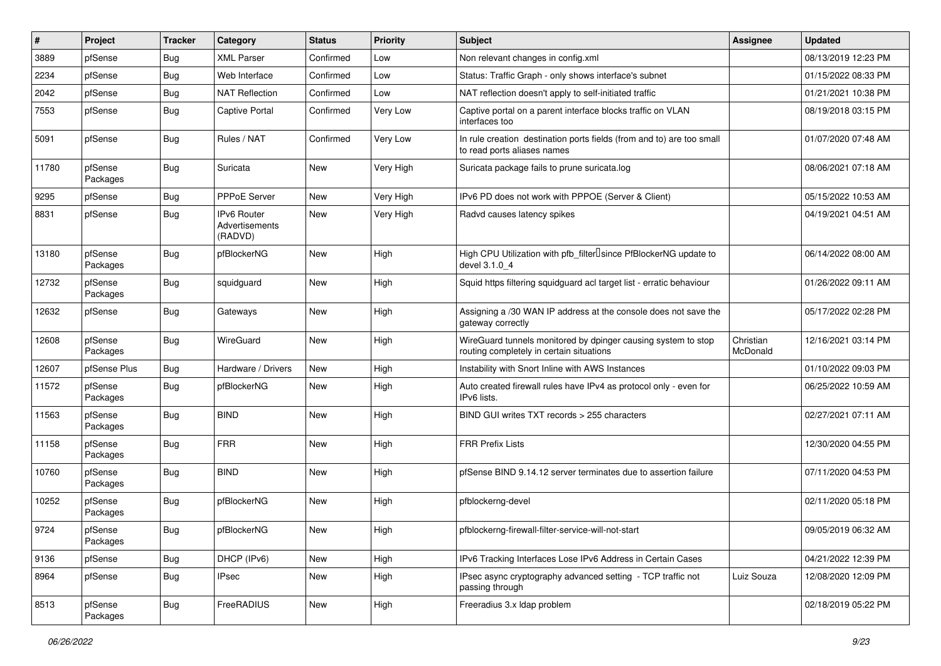| $\vert$ # | Project             | <b>Tracker</b> | Category                                 | <b>Status</b> | <b>Priority</b> | <b>Subject</b>                                                                                            | Assignee              | <b>Updated</b>      |
|-----------|---------------------|----------------|------------------------------------------|---------------|-----------------|-----------------------------------------------------------------------------------------------------------|-----------------------|---------------------|
| 3889      | pfSense             | <b>Bug</b>     | <b>XML Parser</b>                        | Confirmed     | Low             | Non relevant changes in config.xml                                                                        |                       | 08/13/2019 12:23 PM |
| 2234      | pfSense             | <b>Bug</b>     | Web Interface                            | Confirmed     | Low             | Status: Traffic Graph - only shows interface's subnet                                                     |                       | 01/15/2022 08:33 PM |
| 2042      | pfSense             | Bug            | <b>NAT Reflection</b>                    | Confirmed     | Low             | NAT reflection doesn't apply to self-initiated traffic                                                    |                       | 01/21/2021 10:38 PM |
| 7553      | pfSense             | <b>Bug</b>     | <b>Captive Portal</b>                    | Confirmed     | Very Low        | Captive portal on a parent interface blocks traffic on VLAN<br>interfaces too                             |                       | 08/19/2018 03:15 PM |
| 5091      | pfSense             | <b>Bug</b>     | Rules / NAT                              | Confirmed     | Very Low        | In rule creation destination ports fields (from and to) are too small<br>to read ports aliases names      |                       | 01/07/2020 07:48 AM |
| 11780     | pfSense<br>Packages | <b>Bug</b>     | Suricata                                 | New           | Very High       | Suricata package fails to prune suricata.log                                                              |                       | 08/06/2021 07:18 AM |
| 9295      | pfSense             | <b>Bug</b>     | PPPoE Server                             | New           | Very High       | IPv6 PD does not work with PPPOE (Server & Client)                                                        |                       | 05/15/2022 10:53 AM |
| 8831      | pfSense             | <b>Bug</b>     | IPv6 Router<br>Advertisements<br>(RADVD) | New           | Very High       | Radvd causes latency spikes                                                                               |                       | 04/19/2021 04:51 AM |
| 13180     | pfSense<br>Packages | Bug            | pfBlockerNG                              | New           | High            | High CPU Utilization with pfb_filter <sup>[]</sup> since PfBlockerNG update to<br>devel 3.1.0 4           |                       | 06/14/2022 08:00 AM |
| 12732     | pfSense<br>Packages | Bug            | squidguard                               | New           | High            | Squid https filtering squidguard acl target list - erratic behaviour                                      |                       | 01/26/2022 09:11 AM |
| 12632     | pfSense             | <b>Bug</b>     | Gateways                                 | New           | High            | Assigning a /30 WAN IP address at the console does not save the<br>gateway correctly                      |                       | 05/17/2022 02:28 PM |
| 12608     | pfSense<br>Packages | <b>Bug</b>     | WireGuard                                | <b>New</b>    | High            | WireGuard tunnels monitored by dpinger causing system to stop<br>routing completely in certain situations | Christian<br>McDonald | 12/16/2021 03:14 PM |
| 12607     | pfSense Plus        | <b>Bug</b>     | Hardware / Drivers                       | New           | High            | Instability with Snort Inline with AWS Instances                                                          |                       | 01/10/2022 09:03 PM |
| 11572     | pfSense<br>Packages | Bug            | pfBlockerNG                              | New           | High            | Auto created firewall rules have IPv4 as protocol only - even for<br>IPv6 lists.                          |                       | 06/25/2022 10:59 AM |
| 11563     | pfSense<br>Packages | Bug            | <b>BIND</b>                              | New           | High            | BIND GUI writes TXT records > 255 characters                                                              |                       | 02/27/2021 07:11 AM |
| 11158     | pfSense<br>Packages | <b>Bug</b>     | <b>FRR</b>                               | New           | High            | <b>FRR Prefix Lists</b>                                                                                   |                       | 12/30/2020 04:55 PM |
| 10760     | pfSense<br>Packages | <b>Bug</b>     | <b>BIND</b>                              | New           | High            | pfSense BIND 9.14.12 server terminates due to assertion failure                                           |                       | 07/11/2020 04:53 PM |
| 10252     | pfSense<br>Packages | Bug            | pfBlockerNG                              | New           | High            | pfblockerng-devel                                                                                         |                       | 02/11/2020 05:18 PM |
| 9724      | pfSense<br>Packages | <b>Bug</b>     | pfBlockerNG                              | New           | High            | pfblockerng-firewall-filter-service-will-not-start                                                        |                       | 09/05/2019 06:32 AM |
| 9136      | pfSense             | Bug            | DHCP (IPv6)                              | New           | High            | IPv6 Tracking Interfaces Lose IPv6 Address in Certain Cases                                               |                       | 04/21/2022 12:39 PM |
| 8964      | pfSense             | Bug            | <b>IPsec</b>                             | New           | High            | IPsec async cryptography advanced setting - TCP traffic not<br>passing through                            | Luiz Souza            | 12/08/2020 12:09 PM |
| 8513      | pfSense<br>Packages | Bug            | FreeRADIUS                               | New           | High            | Freeradius 3.x Idap problem                                                                               |                       | 02/18/2019 05:22 PM |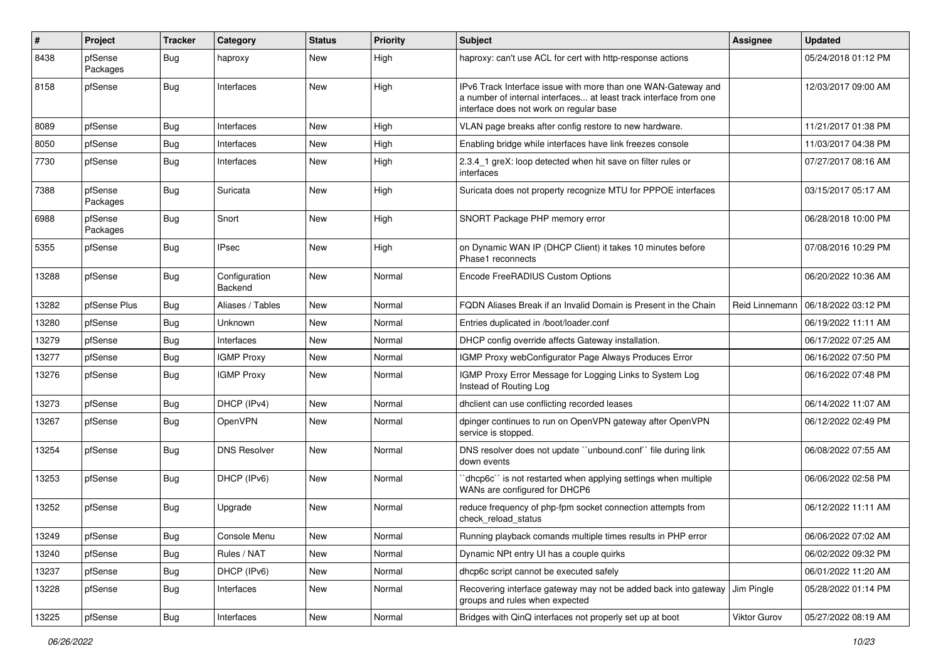| #     | Project             | <b>Tracker</b> | Category                 | <b>Status</b> | <b>Priority</b> | Subject                                                                                                                                                                       | <b>Assignee</b> | <b>Updated</b>      |
|-------|---------------------|----------------|--------------------------|---------------|-----------------|-------------------------------------------------------------------------------------------------------------------------------------------------------------------------------|-----------------|---------------------|
| 8438  | pfSense<br>Packages | <b>Bug</b>     | haproxy                  | New           | High            | haproxy: can't use ACL for cert with http-response actions                                                                                                                    |                 | 05/24/2018 01:12 PM |
| 8158  | pfSense             | Bug            | Interfaces               | New           | High            | IPv6 Track Interface issue with more than one WAN-Gateway and<br>a number of internal interfaces at least track interface from one<br>interface does not work on regular base |                 | 12/03/2017 09:00 AM |
| 8089  | pfSense             | <b>Bug</b>     | Interfaces               | New           | High            | VLAN page breaks after config restore to new hardware.                                                                                                                        |                 | 11/21/2017 01:38 PM |
| 8050  | pfSense             | <b>Bug</b>     | Interfaces               | New           | High            | Enabling bridge while interfaces have link freezes console                                                                                                                    |                 | 11/03/2017 04:38 PM |
| 7730  | pfSense             | <b>Bug</b>     | Interfaces               | New           | High            | 2.3.4_1 greX: loop detected when hit save on filter rules or<br>interfaces                                                                                                    |                 | 07/27/2017 08:16 AM |
| 7388  | pfSense<br>Packages | Bug            | Suricata                 | New           | High            | Suricata does not property recognize MTU for PPPOE interfaces                                                                                                                 |                 | 03/15/2017 05:17 AM |
| 6988  | pfSense<br>Packages | Bug            | Snort                    | New           | High            | SNORT Package PHP memory error                                                                                                                                                |                 | 06/28/2018 10:00 PM |
| 5355  | pfSense             | <b>Bug</b>     | <b>IPsec</b>             | New           | High            | on Dynamic WAN IP (DHCP Client) it takes 10 minutes before<br>Phase1 reconnects                                                                                               |                 | 07/08/2016 10:29 PM |
| 13288 | pfSense             | <b>Bug</b>     | Configuration<br>Backend | New           | Normal          | Encode FreeRADIUS Custom Options                                                                                                                                              |                 | 06/20/2022 10:36 AM |
| 13282 | pfSense Plus        | <b>Bug</b>     | Aliases / Tables         | New           | Normal          | FQDN Aliases Break if an Invalid Domain is Present in the Chain                                                                                                               | Reid Linnemann  | 06/18/2022 03:12 PM |
| 13280 | pfSense             | <b>Bug</b>     | Unknown                  | New           | Normal          | Entries duplicated in /boot/loader.conf                                                                                                                                       |                 | 06/19/2022 11:11 AM |
| 13279 | pfSense             | <b>Bug</b>     | Interfaces               | New           | Normal          | DHCP config override affects Gateway installation.                                                                                                                            |                 | 06/17/2022 07:25 AM |
| 13277 | pfSense             | <b>Bug</b>     | <b>IGMP Proxy</b>        | New           | Normal          | IGMP Proxy webConfigurator Page Always Produces Error                                                                                                                         |                 | 06/16/2022 07:50 PM |
| 13276 | pfSense             | <b>Bug</b>     | <b>IGMP Proxy</b>        | New           | Normal          | IGMP Proxy Error Message for Logging Links to System Log<br>Instead of Routing Log                                                                                            |                 | 06/16/2022 07:48 PM |
| 13273 | pfSense             | Bug            | DHCP (IPv4)              | New           | Normal          | dhclient can use conflicting recorded leases                                                                                                                                  |                 | 06/14/2022 11:07 AM |
| 13267 | pfSense             | <b>Bug</b>     | <b>OpenVPN</b>           | New           | Normal          | dpinger continues to run on OpenVPN gateway after OpenVPN<br>service is stopped.                                                                                              |                 | 06/12/2022 02:49 PM |
| 13254 | pfSense             | <b>Bug</b>     | <b>DNS Resolver</b>      | <b>New</b>    | Normal          | DNS resolver does not update "unbound.conf" file during link<br>down events                                                                                                   |                 | 06/08/2022 07:55 AM |
| 13253 | pfSense             | <b>Bug</b>     | DHCP (IPv6)              | New           | Normal          | 'dhcp6c' is not restarted when applying settings when multiple<br>WANs are configured for DHCP6                                                                               |                 | 06/06/2022 02:58 PM |
| 13252 | pfSense             | Bug            | Upgrade                  | New           | Normal          | reduce frequency of php-fpm socket connection attempts from<br>check reload status                                                                                            |                 | 06/12/2022 11:11 AM |
| 13249 | pfSense             | Bug            | Console Menu             | <b>New</b>    | Normal          | Running playback comands multiple times results in PHP error                                                                                                                  |                 | 06/06/2022 07:02 AM |
| 13240 | pfSense             | <b>Bug</b>     | Rules / NAT              | New           | Normal          | Dynamic NPt entry UI has a couple quirks                                                                                                                                      |                 | 06/02/2022 09:32 PM |
| 13237 | pfSense             | <b>Bug</b>     | DHCP (IPv6)              | New           | Normal          | dhcp6c script cannot be executed safely                                                                                                                                       |                 | 06/01/2022 11:20 AM |
| 13228 | pfSense             | <b>Bug</b>     | Interfaces               | New           | Normal          | Recovering interface gateway may not be added back into gateway<br>groups and rules when expected                                                                             | Jim Pingle      | 05/28/2022 01:14 PM |
| 13225 | pfSense             | <b>Bug</b>     | Interfaces               | New           | Normal          | Bridges with QinQ interfaces not properly set up at boot                                                                                                                      | Viktor Gurov    | 05/27/2022 08:19 AM |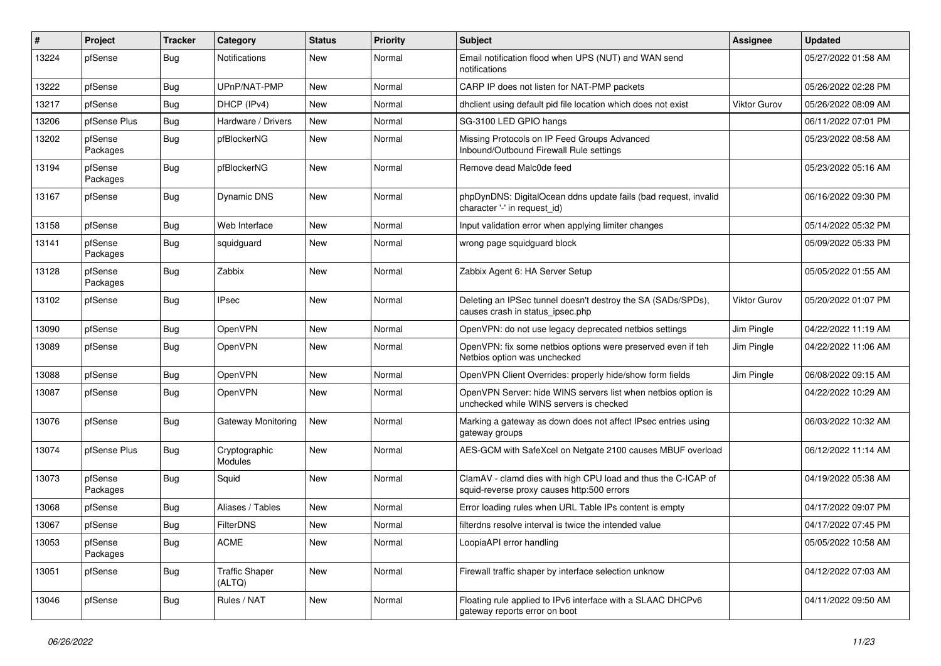| #     | Project             | <b>Tracker</b> | Category                        | <b>Status</b> | <b>Priority</b> | Subject                                                                                                     | <b>Assignee</b>     | <b>Updated</b>      |
|-------|---------------------|----------------|---------------------------------|---------------|-----------------|-------------------------------------------------------------------------------------------------------------|---------------------|---------------------|
| 13224 | pfSense             | Bug            | Notifications                   | New           | Normal          | Email notification flood when UPS (NUT) and WAN send<br>notifications                                       |                     | 05/27/2022 01:58 AM |
| 13222 | pfSense             | <b>Bug</b>     | UPnP/NAT-PMP                    | New           | Normal          | CARP IP does not listen for NAT-PMP packets                                                                 |                     | 05/26/2022 02:28 PM |
| 13217 | pfSense             | <b>Bug</b>     | DHCP (IPv4)                     | New           | Normal          | dhclient using default pid file location which does not exist                                               | <b>Viktor Gurov</b> | 05/26/2022 08:09 AM |
| 13206 | pfSense Plus        | <b>Bug</b>     | Hardware / Drivers              | New           | Normal          | SG-3100 LED GPIO hangs                                                                                      |                     | 06/11/2022 07:01 PM |
| 13202 | pfSense<br>Packages | <b>Bug</b>     | pfBlockerNG                     | New           | Normal          | Missing Protocols on IP Feed Groups Advanced<br>Inbound/Outbound Firewall Rule settings                     |                     | 05/23/2022 08:58 AM |
| 13194 | pfSense<br>Packages | <b>Bug</b>     | pfBlockerNG                     | New           | Normal          | Remove dead Malc0de feed                                                                                    |                     | 05/23/2022 05:16 AM |
| 13167 | pfSense             | <b>Bug</b>     | <b>Dynamic DNS</b>              | New           | Normal          | phpDynDNS: DigitalOcean ddns update fails (bad request, invalid<br>character '-' in request_id)             |                     | 06/16/2022 09:30 PM |
| 13158 | pfSense             | <b>Bug</b>     | Web Interface                   | New           | Normal          | Input validation error when applying limiter changes                                                        |                     | 05/14/2022 05:32 PM |
| 13141 | pfSense<br>Packages | <b>Bug</b>     | squidguard                      | New           | Normal          | wrong page squidguard block                                                                                 |                     | 05/09/2022 05:33 PM |
| 13128 | pfSense<br>Packages | <b>Bug</b>     | Zabbix                          | New           | Normal          | Zabbix Agent 6: HA Server Setup                                                                             |                     | 05/05/2022 01:55 AM |
| 13102 | pfSense             | <b>Bug</b>     | <b>IPsec</b>                    | New           | Normal          | Deleting an IPSec tunnel doesn't destroy the SA (SADs/SPDs),<br>causes crash in status_ipsec.php            | Viktor Gurov        | 05/20/2022 01:07 PM |
| 13090 | pfSense             | <b>Bug</b>     | OpenVPN                         | <b>New</b>    | Normal          | OpenVPN: do not use legacy deprecated netbios settings                                                      | Jim Pingle          | 04/22/2022 11:19 AM |
| 13089 | pfSense             | <b>Bug</b>     | OpenVPN                         | New           | Normal          | OpenVPN: fix some netbios options were preserved even if teh<br>Netbios option was unchecked                | Jim Pingle          | 04/22/2022 11:06 AM |
| 13088 | pfSense             | <b>Bug</b>     | OpenVPN                         | New           | Normal          | OpenVPN Client Overrides: properly hide/show form fields                                                    | Jim Pingle          | 06/08/2022 09:15 AM |
| 13087 | pfSense             | <b>Bug</b>     | OpenVPN                         | New           | Normal          | OpenVPN Server: hide WINS servers list when netbios option is<br>unchecked while WINS servers is checked    |                     | 04/22/2022 10:29 AM |
| 13076 | pfSense             | Bug            | Gateway Monitoring              | New           | Normal          | Marking a gateway as down does not affect IPsec entries using<br>gateway groups                             |                     | 06/03/2022 10:32 AM |
| 13074 | pfSense Plus        | <b>Bug</b>     | Cryptographic<br>Modules        | <b>New</b>    | Normal          | AES-GCM with SafeXcel on Netgate 2100 causes MBUF overload                                                  |                     | 06/12/2022 11:14 AM |
| 13073 | pfSense<br>Packages | <b>Bug</b>     | Squid                           | New           | Normal          | ClamAV - clamd dies with high CPU load and thus the C-ICAP of<br>squid-reverse proxy causes http:500 errors |                     | 04/19/2022 05:38 AM |
| 13068 | pfSense             | <b>Bug</b>     | Aliases / Tables                | New           | Normal          | Error loading rules when URL Table IPs content is empty                                                     |                     | 04/17/2022 09:07 PM |
| 13067 | pfSense             | <b>Bug</b>     | FilterDNS                       | New           | Normal          | filterdns resolve interval is twice the intended value                                                      |                     | 04/17/2022 07:45 PM |
| 13053 | pfSense<br>Packages | <b>Bug</b>     | <b>ACME</b>                     | New           | Normal          | LoopiaAPI error handling                                                                                    |                     | 05/05/2022 10:58 AM |
| 13051 | pfSense             | <b>Bug</b>     | <b>Traffic Shaper</b><br>(ALTQ) | New           | Normal          | Firewall traffic shaper by interface selection unknow                                                       |                     | 04/12/2022 07:03 AM |
| 13046 | pfSense             | <b>Bug</b>     | Rules / NAT                     | New           | Normal          | Floating rule applied to IPv6 interface with a SLAAC DHCPv6<br>gateway reports error on boot                |                     | 04/11/2022 09:50 AM |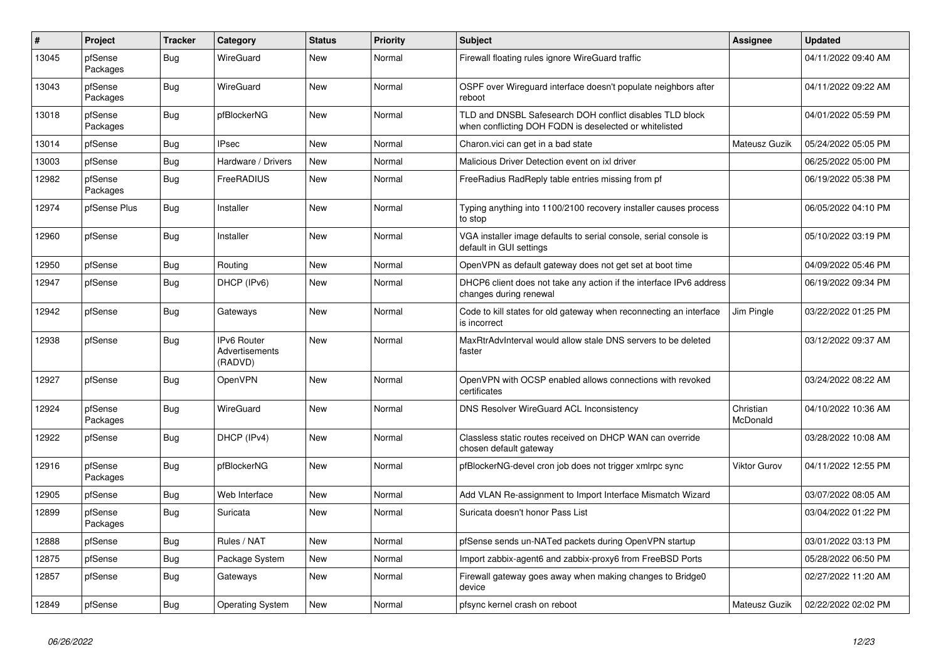| $\vert$ # | Project             | <b>Tracker</b> | Category                                 | <b>Status</b> | <b>Priority</b> | <b>Subject</b>                                                                                                     | <b>Assignee</b>       | <b>Updated</b>      |
|-----------|---------------------|----------------|------------------------------------------|---------------|-----------------|--------------------------------------------------------------------------------------------------------------------|-----------------------|---------------------|
| 13045     | pfSense<br>Packages | <b>Bug</b>     | WireGuard                                | <b>New</b>    | Normal          | Firewall floating rules ignore WireGuard traffic                                                                   |                       | 04/11/2022 09:40 AM |
| 13043     | pfSense<br>Packages | <b>Bug</b>     | WireGuard                                | <b>New</b>    | Normal          | OSPF over Wireguard interface doesn't populate neighbors after<br>reboot                                           |                       | 04/11/2022 09:22 AM |
| 13018     | pfSense<br>Packages | <b>Bug</b>     | pfBlockerNG                              | <b>New</b>    | Normal          | TLD and DNSBL Safesearch DOH conflict disables TLD block<br>when conflicting DOH FQDN is deselected or whitelisted |                       | 04/01/2022 05:59 PM |
| 13014     | pfSense             | <b>Bug</b>     | <b>IPsec</b>                             | <b>New</b>    | Normal          | Charon.vici can get in a bad state                                                                                 | Mateusz Guzik         | 05/24/2022 05:05 PM |
| 13003     | pfSense             | <b>Bug</b>     | Hardware / Drivers                       | <b>New</b>    | Normal          | Malicious Driver Detection event on ixl driver                                                                     |                       | 06/25/2022 05:00 PM |
| 12982     | pfSense<br>Packages | <b>Bug</b>     | FreeRADIUS                               | <b>New</b>    | Normal          | FreeRadius RadReply table entries missing from pf                                                                  |                       | 06/19/2022 05:38 PM |
| 12974     | pfSense Plus        | <b>Bug</b>     | Installer                                | <b>New</b>    | Normal          | Typing anything into 1100/2100 recovery installer causes process<br>to stop                                        |                       | 06/05/2022 04:10 PM |
| 12960     | pfSense             | Bug            | Installer                                | <b>New</b>    | Normal          | VGA installer image defaults to serial console, serial console is<br>default in GUI settings                       |                       | 05/10/2022 03:19 PM |
| 12950     | pfSense             | Bug            | Routing                                  | <b>New</b>    | Normal          | OpenVPN as default gateway does not get set at boot time                                                           |                       | 04/09/2022 05:46 PM |
| 12947     | pfSense             | Bug            | DHCP (IPv6)                              | <b>New</b>    | Normal          | DHCP6 client does not take any action if the interface IPv6 address<br>changes during renewal                      |                       | 06/19/2022 09:34 PM |
| 12942     | pfSense             | Bug            | Gateways                                 | <b>New</b>    | Normal          | Code to kill states for old gateway when reconnecting an interface<br>is incorrect                                 | Jim Pingle            | 03/22/2022 01:25 PM |
| 12938     | pfSense             | Bug            | IPv6 Router<br>Advertisements<br>(RADVD) | <b>New</b>    | Normal          | MaxRtrAdvInterval would allow stale DNS servers to be deleted<br>faster                                            |                       | 03/12/2022 09:37 AM |
| 12927     | pfSense             | <b>Bug</b>     | <b>OpenVPN</b>                           | <b>New</b>    | Normal          | OpenVPN with OCSP enabled allows connections with revoked<br>certificates                                          |                       | 03/24/2022 08:22 AM |
| 12924     | pfSense<br>Packages | Bug            | WireGuard                                | <b>New</b>    | Normal          | DNS Resolver WireGuard ACL Inconsistency                                                                           | Christian<br>McDonald | 04/10/2022 10:36 AM |
| 12922     | pfSense             | <b>Bug</b>     | DHCP (IPv4)                              | <b>New</b>    | Normal          | Classless static routes received on DHCP WAN can override<br>chosen default gateway                                |                       | 03/28/2022 10:08 AM |
| 12916     | pfSense<br>Packages | <b>Bug</b>     | pfBlockerNG                              | <b>New</b>    | Normal          | pfBlockerNG-devel cron job does not trigger xmlrpc sync                                                            | <b>Viktor Gurov</b>   | 04/11/2022 12:55 PM |
| 12905     | pfSense             | <b>Bug</b>     | Web Interface                            | <b>New</b>    | Normal          | Add VLAN Re-assignment to Import Interface Mismatch Wizard                                                         |                       | 03/07/2022 08:05 AM |
| 12899     | pfSense<br>Packages | Bug            | Suricata                                 | <b>New</b>    | Normal          | Suricata doesn't honor Pass List                                                                                   |                       | 03/04/2022 01:22 PM |
| 12888     | pfSense             | Bug            | Rules / NAT                              | New           | Normal          | pfSense sends un-NATed packets during OpenVPN startup                                                              |                       | 03/01/2022 03:13 PM |
| 12875     | pfSense             | <b>Bug</b>     | Package System                           | New           | Normal          | Import zabbix-agent6 and zabbix-proxy6 from FreeBSD Ports                                                          |                       | 05/28/2022 06:50 PM |
| 12857     | pfSense             | <b>Bug</b>     | Gateways                                 | New           | Normal          | Firewall gateway goes away when making changes to Bridge0<br>device                                                |                       | 02/27/2022 11:20 AM |
| 12849     | pfSense             | <b>Bug</b>     | <b>Operating System</b>                  | <b>New</b>    | Normal          | pfsync kernel crash on reboot                                                                                      | Mateusz Guzik         | 02/22/2022 02:02 PM |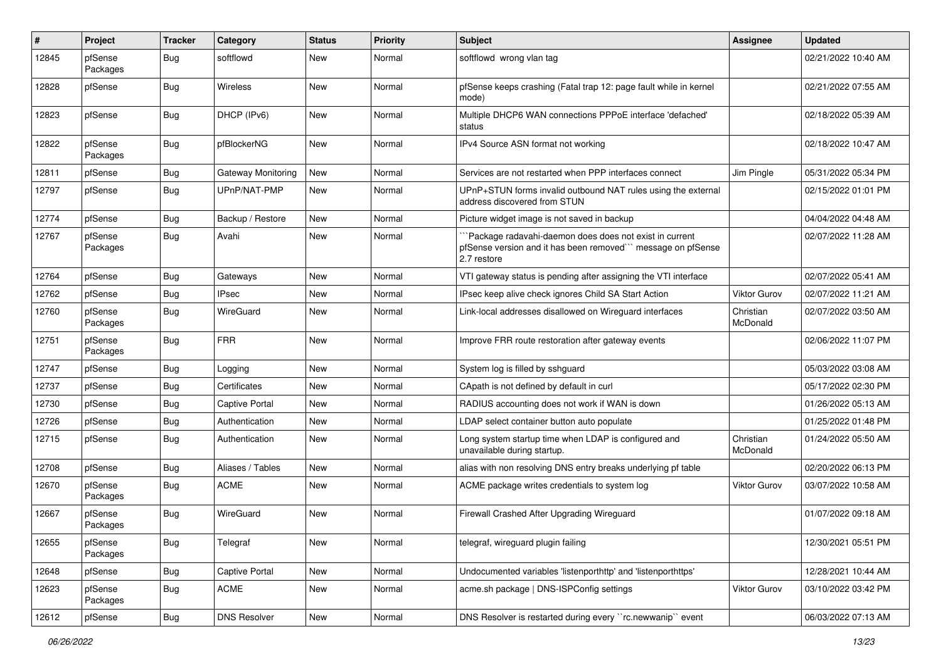| #     | Project             | <b>Tracker</b> | Category                  | <b>Status</b> | <b>Priority</b> | Subject                                                                                                                               | <b>Assignee</b>       | <b>Updated</b>      |
|-------|---------------------|----------------|---------------------------|---------------|-----------------|---------------------------------------------------------------------------------------------------------------------------------------|-----------------------|---------------------|
| 12845 | pfSense<br>Packages | Bug            | softflowd                 | New           | Normal          | softflowd wrong vlan tag                                                                                                              |                       | 02/21/2022 10:40 AM |
| 12828 | pfSense             | Bug            | Wireless                  | New           | Normal          | pfSense keeps crashing (Fatal trap 12: page fault while in kernel<br>mode)                                                            |                       | 02/21/2022 07:55 AM |
| 12823 | pfSense             | <b>Bug</b>     | DHCP (IPv6)               | <b>New</b>    | Normal          | Multiple DHCP6 WAN connections PPPoE interface 'defached'<br>status                                                                   |                       | 02/18/2022 05:39 AM |
| 12822 | pfSense<br>Packages | Bug            | pfBlockerNG               | New           | Normal          | IPv4 Source ASN format not working                                                                                                    |                       | 02/18/2022 10:47 AM |
| 12811 | pfSense             | <b>Bug</b>     | <b>Gateway Monitoring</b> | <b>New</b>    | Normal          | Services are not restarted when PPP interfaces connect                                                                                | Jim Pingle            | 05/31/2022 05:34 PM |
| 12797 | pfSense             | Bug            | UPnP/NAT-PMP              | New           | Normal          | UPnP+STUN forms invalid outbound NAT rules using the external<br>address discovered from STUN                                         |                       | 02/15/2022 01:01 PM |
| 12774 | pfSense             | <b>Bug</b>     | Backup / Restore          | New           | Normal          | Picture widget image is not saved in backup                                                                                           |                       | 04/04/2022 04:48 AM |
| 12767 | pfSense<br>Packages | <b>Bug</b>     | Avahi                     | <b>New</b>    | Normal          | Package radavahi-daemon does does not exist in current<br>pfSense version and it has been removed"" message on pfSense<br>2.7 restore |                       | 02/07/2022 11:28 AM |
| 12764 | pfSense             | Bug            | Gateways                  | <b>New</b>    | Normal          | VTI gateway status is pending after assigning the VTI interface                                                                       |                       | 02/07/2022 05:41 AM |
| 12762 | pfSense             | Bug            | <b>IPsec</b>              | New           | Normal          | IPsec keep alive check ignores Child SA Start Action                                                                                  | <b>Viktor Gurov</b>   | 02/07/2022 11:21 AM |
| 12760 | pfSense<br>Packages | Bug            | WireGuard                 | New           | Normal          | Link-local addresses disallowed on Wireguard interfaces                                                                               | Christian<br>McDonald | 02/07/2022 03:50 AM |
| 12751 | pfSense<br>Packages | Bug            | <b>FRR</b>                | New           | Normal          | Improve FRR route restoration after gateway events                                                                                    |                       | 02/06/2022 11:07 PM |
| 12747 | pfSense             | Bug            | Logging                   | New           | Normal          | System log is filled by sshguard                                                                                                      |                       | 05/03/2022 03:08 AM |
| 12737 | pfSense             | <b>Bug</b>     | Certificates              | New           | Normal          | CApath is not defined by default in curl                                                                                              |                       | 05/17/2022 02:30 PM |
| 12730 | pfSense             | <b>Bug</b>     | <b>Captive Portal</b>     | New           | Normal          | RADIUS accounting does not work if WAN is down                                                                                        |                       | 01/26/2022 05:13 AM |
| 12726 | pfSense             | <b>Bug</b>     | Authentication            | New           | Normal          | LDAP select container button auto populate                                                                                            |                       | 01/25/2022 01:48 PM |
| 12715 | pfSense             | Bug            | Authentication            | New           | Normal          | Long system startup time when LDAP is configured and<br>unavailable during startup.                                                   | Christian<br>McDonald | 01/24/2022 05:50 AM |
| 12708 | pfSense             | Bug            | Aliases / Tables          | New           | Normal          | alias with non resolving DNS entry breaks underlying pf table                                                                         |                       | 02/20/2022 06:13 PM |
| 12670 | pfSense<br>Packages | Bug            | <b>ACME</b>               | New           | Normal          | ACME package writes credentials to system log                                                                                         | Viktor Gurov          | 03/07/2022 10:58 AM |
| 12667 | pfSense<br>Packages | <b>Bug</b>     | WireGuard                 | New           | Normal          | Firewall Crashed After Upgrading Wireguard                                                                                            |                       | 01/07/2022 09:18 AM |
| 12655 | pfSense<br>Packages | <b>Bug</b>     | Telegraf                  | New           | Normal          | telegraf, wireguard plugin failing                                                                                                    |                       | 12/30/2021 05:51 PM |
| 12648 | pfSense             | Bug            | Captive Portal            | New           | Normal          | Undocumented variables 'listenporthttp' and 'listenporthttps'                                                                         |                       | 12/28/2021 10:44 AM |
| 12623 | pfSense<br>Packages | <b>Bug</b>     | <b>ACME</b>               | New           | Normal          | acme.sh package   DNS-ISPConfig settings                                                                                              | Viktor Gurov          | 03/10/2022 03:42 PM |
| 12612 | pfSense             | <b>Bug</b>     | <b>DNS Resolver</b>       | New           | Normal          | DNS Resolver is restarted during every "rc.newwanip" event                                                                            |                       | 06/03/2022 07:13 AM |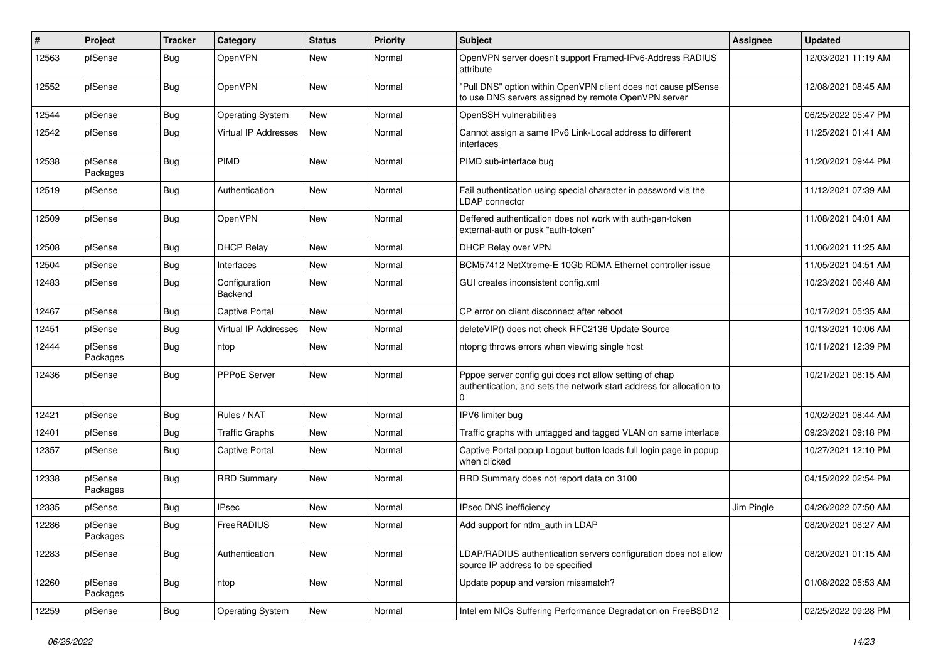| ∦     | Project             | <b>Tracker</b> | Category                        | <b>Status</b> | <b>Priority</b> | <b>Subject</b>                                                                                                                             | <b>Assignee</b> | <b>Updated</b>      |
|-------|---------------------|----------------|---------------------------------|---------------|-----------------|--------------------------------------------------------------------------------------------------------------------------------------------|-----------------|---------------------|
| 12563 | pfSense             | Bug            | OpenVPN                         | New           | Normal          | OpenVPN server doesn't support Framed-IPv6-Address RADIUS<br>attribute                                                                     |                 | 12/03/2021 11:19 AM |
| 12552 | pfSense             | Bug            | OpenVPN                         | New           | Normal          | "Pull DNS" option within OpenVPN client does not cause pfSense<br>to use DNS servers assigned by remote OpenVPN server                     |                 | 12/08/2021 08:45 AM |
| 12544 | pfSense             | Bug            | <b>Operating System</b>         | New           | Normal          | OpenSSH vulnerabilities                                                                                                                    |                 | 06/25/2022 05:47 PM |
| 12542 | pfSense             | Bug            | Virtual IP Addresses            | New           | Normal          | Cannot assign a same IPv6 Link-Local address to different<br>interfaces                                                                    |                 | 11/25/2021 01:41 AM |
| 12538 | pfSense<br>Packages | Bug            | PIMD                            | <b>New</b>    | Normal          | PIMD sub-interface bug                                                                                                                     |                 | 11/20/2021 09:44 PM |
| 12519 | pfSense             | Bug            | Authentication                  | New           | Normal          | Fail authentication using special character in password via the<br>LDAP connector                                                          |                 | 11/12/2021 07:39 AM |
| 12509 | pfSense             | Bug            | OpenVPN                         | New           | Normal          | Deffered authentication does not work with auth-gen-token<br>external-auth or pusk "auth-token"                                            |                 | 11/08/2021 04:01 AM |
| 12508 | pfSense             | <b>Bug</b>     | <b>DHCP Relay</b>               | New           | Normal          | DHCP Relay over VPN                                                                                                                        |                 | 11/06/2021 11:25 AM |
| 12504 | pfSense             | <b>Bug</b>     | Interfaces                      | New           | Normal          | BCM57412 NetXtreme-E 10Gb RDMA Ethernet controller issue                                                                                   |                 | 11/05/2021 04:51 AM |
| 12483 | pfSense             | Bug            | Configuration<br><b>Backend</b> | New           | Normal          | GUI creates inconsistent config.xml                                                                                                        |                 | 10/23/2021 06:48 AM |
| 12467 | pfSense             | Bug            | Captive Portal                  | New           | Normal          | CP error on client disconnect after reboot                                                                                                 |                 | 10/17/2021 05:35 AM |
| 12451 | pfSense             | <b>Bug</b>     | Virtual IP Addresses            | New           | Normal          | deleteVIP() does not check RFC2136 Update Source                                                                                           |                 | 10/13/2021 10:06 AM |
| 12444 | pfSense<br>Packages | Bug            | ntop                            | New           | Normal          | ntopng throws errors when viewing single host                                                                                              |                 | 10/11/2021 12:39 PM |
| 12436 | pfSense             | Bug            | PPPoE Server                    | New           | Normal          | Pppoe server config gui does not allow setting of chap<br>authentication, and sets the network start address for allocation to<br>$\Omega$ |                 | 10/21/2021 08:15 AM |
| 12421 | pfSense             | <b>Bug</b>     | Rules / NAT                     | New           | Normal          | IPV6 limiter bug                                                                                                                           |                 | 10/02/2021 08:44 AM |
| 12401 | pfSense             | <b>Bug</b>     | <b>Traffic Graphs</b>           | New           | Normal          | Traffic graphs with untagged and tagged VLAN on same interface                                                                             |                 | 09/23/2021 09:18 PM |
| 12357 | pfSense             | Bug            | <b>Captive Portal</b>           | New           | Normal          | Captive Portal popup Logout button loads full login page in popup<br>when clicked                                                          |                 | 10/27/2021 12:10 PM |
| 12338 | pfSense<br>Packages | Bug            | <b>RRD Summary</b>              | New           | Normal          | RRD Summary does not report data on 3100                                                                                                   |                 | 04/15/2022 02:54 PM |
| 12335 | pfSense             | <b>Bug</b>     | <b>IPsec</b>                    | New           | Normal          | IPsec DNS inefficiency                                                                                                                     | Jim Pingle      | 04/26/2022 07:50 AM |
| 12286 | pfSense<br>Packages | <b>Bug</b>     | FreeRADIUS                      | New           | Normal          | Add support for ntlm auth in LDAP                                                                                                          |                 | 08/20/2021 08:27 AM |
| 12283 | pfSense             | <b>Bug</b>     | Authentication                  | New           | Normal          | LDAP/RADIUS authentication servers configuration does not allow<br>source IP address to be specified                                       |                 | 08/20/2021 01:15 AM |
| 12260 | pfSense<br>Packages | <b>Bug</b>     | ntop                            | New           | Normal          | Update popup and version missmatch?                                                                                                        |                 | 01/08/2022 05:53 AM |
| 12259 | pfSense             | Bug            | <b>Operating System</b>         | New           | Normal          | Intel em NICs Suffering Performance Degradation on FreeBSD12                                                                               |                 | 02/25/2022 09:28 PM |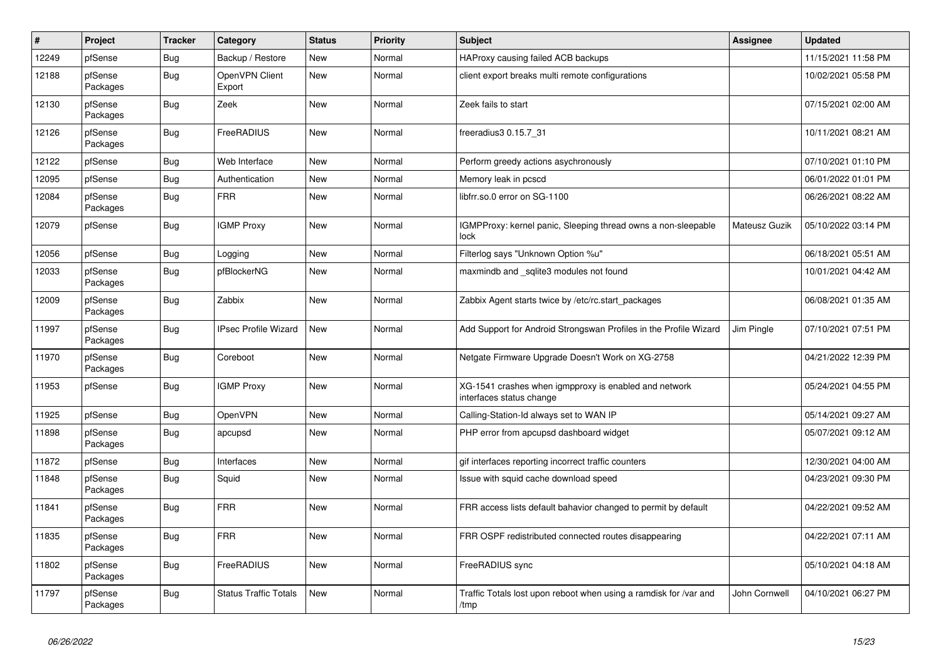| $\sharp$ | Project             | <b>Tracker</b> | Category                     | <b>Status</b> | <b>Priority</b> | <b>Subject</b>                                                                    | <b>Assignee</b> | <b>Updated</b>      |
|----------|---------------------|----------------|------------------------------|---------------|-----------------|-----------------------------------------------------------------------------------|-----------------|---------------------|
| 12249    | pfSense             | Bug            | Backup / Restore             | <b>New</b>    | Normal          | HAProxy causing failed ACB backups                                                |                 | 11/15/2021 11:58 PM |
| 12188    | pfSense<br>Packages | <b>Bug</b>     | OpenVPN Client<br>Export     | <b>New</b>    | Normal          | client export breaks multi remote configurations                                  |                 | 10/02/2021 05:58 PM |
| 12130    | pfSense<br>Packages | <b>Bug</b>     | Zeek                         | New           | Normal          | Zeek fails to start                                                               |                 | 07/15/2021 02:00 AM |
| 12126    | pfSense<br>Packages | <b>Bug</b>     | FreeRADIUS                   | <b>New</b>    | Normal          | freeradius3 0.15.7 31                                                             |                 | 10/11/2021 08:21 AM |
| 12122    | pfSense             | <b>Bug</b>     | Web Interface                | <b>New</b>    | Normal          | Perform greedy actions asychronously                                              |                 | 07/10/2021 01:10 PM |
| 12095    | pfSense             | <b>Bug</b>     | Authentication               | New           | Normal          | Memory leak in pcscd                                                              |                 | 06/01/2022 01:01 PM |
| 12084    | pfSense<br>Packages | Bug            | <b>FRR</b>                   | New           | Normal          | libfrr.so.0 error on SG-1100                                                      |                 | 06/26/2021 08:22 AM |
| 12079    | pfSense             | <b>Bug</b>     | <b>IGMP Proxy</b>            | <b>New</b>    | Normal          | IGMPProxy: kernel panic, Sleeping thread owns a non-sleepable<br>lock             | Mateusz Guzik   | 05/10/2022 03:14 PM |
| 12056    | pfSense             | <b>Bug</b>     | Logging                      | New           | Normal          | Filterlog says "Unknown Option %u"                                                |                 | 06/18/2021 05:51 AM |
| 12033    | pfSense<br>Packages | <b>Bug</b>     | pfBlockerNG                  | New           | Normal          | maxmindb and sqlite3 modules not found                                            |                 | 10/01/2021 04:42 AM |
| 12009    | pfSense<br>Packages | <b>Bug</b>     | Zabbix                       | <b>New</b>    | Normal          | Zabbix Agent starts twice by /etc/rc.start packages                               |                 | 06/08/2021 01:35 AM |
| 11997    | pfSense<br>Packages | <b>Bug</b>     | <b>IPsec Profile Wizard</b>  | New           | Normal          | Add Support for Android Strongswan Profiles in the Profile Wizard                 | Jim Pingle      | 07/10/2021 07:51 PM |
| 11970    | pfSense<br>Packages | <b>Bug</b>     | Coreboot                     | New           | Normal          | Netgate Firmware Upgrade Doesn't Work on XG-2758                                  |                 | 04/21/2022 12:39 PM |
| 11953    | pfSense             | <b>Bug</b>     | <b>IGMP Proxy</b>            | <b>New</b>    | Normal          | XG-1541 crashes when igmpproxy is enabled and network<br>interfaces status change |                 | 05/24/2021 04:55 PM |
| 11925    | pfSense             | Bug            | <b>OpenVPN</b>               | <b>New</b>    | Normal          | Calling-Station-Id always set to WAN IP                                           |                 | 05/14/2021 09:27 AM |
| 11898    | pfSense<br>Packages | Bug            | apcupsd                      | New           | Normal          | PHP error from apcupsd dashboard widget                                           |                 | 05/07/2021 09:12 AM |
| 11872    | pfSense             | <b>Bug</b>     | Interfaces                   | <b>New</b>    | Normal          | gif interfaces reporting incorrect traffic counters                               |                 | 12/30/2021 04:00 AM |
| 11848    | pfSense<br>Packages | Bug            | Squid                        | <b>New</b>    | Normal          | Issue with squid cache download speed                                             |                 | 04/23/2021 09:30 PM |
| 11841    | pfSense<br>Packages | <b>Bug</b>     | <b>FRR</b>                   | New           | Normal          | FRR access lists default bahavior changed to permit by default                    |                 | 04/22/2021 09:52 AM |
| 11835    | pfSense<br>Packages | Bug            | <b>FRR</b>                   | <b>New</b>    | Normal          | FRR OSPF redistributed connected routes disappearing                              |                 | 04/22/2021 07:11 AM |
| 11802    | pfSense<br>Packages | <b>Bug</b>     | FreeRADIUS                   | <b>New</b>    | Normal          | FreeRADIUS sync                                                                   |                 | 05/10/2021 04:18 AM |
| 11797    | pfSense<br>Packages | Bug            | <b>Status Traffic Totals</b> | New           | Normal          | Traffic Totals lost upon reboot when using a ramdisk for /var and<br>/tmp         | John Cornwell   | 04/10/2021 06:27 PM |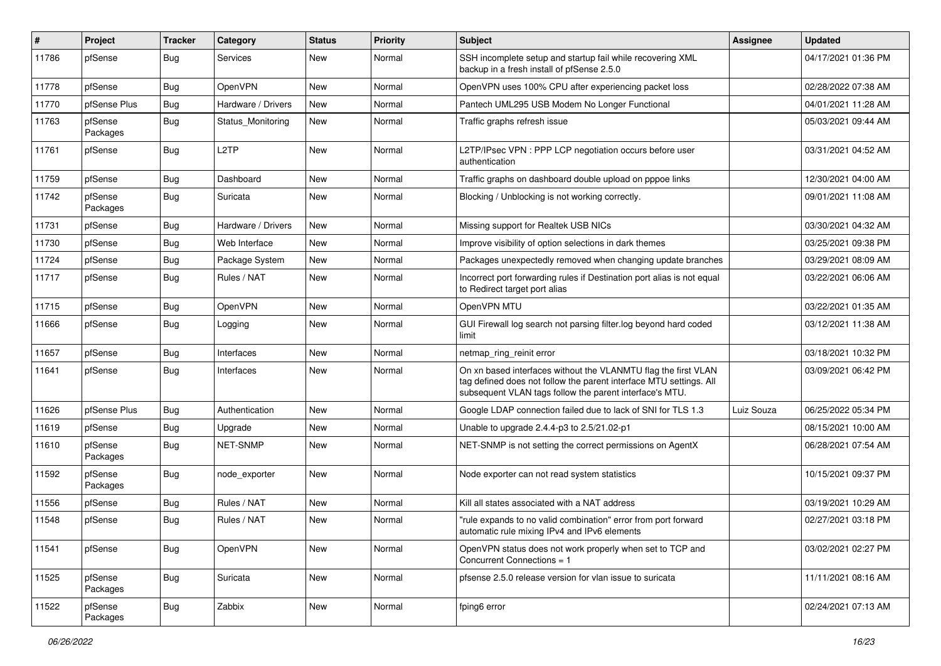| #     | Project             | <b>Tracker</b> | Category           | <b>Status</b> | <b>Priority</b> | Subject                                                                                                                                                                                         | Assignee   | <b>Updated</b>      |
|-------|---------------------|----------------|--------------------|---------------|-----------------|-------------------------------------------------------------------------------------------------------------------------------------------------------------------------------------------------|------------|---------------------|
| 11786 | pfSense             | Bug            | Services           | New           | Normal          | SSH incomplete setup and startup fail while recovering XML<br>backup in a fresh install of pfSense 2.5.0                                                                                        |            | 04/17/2021 01:36 PM |
| 11778 | pfSense             | Bug            | OpenVPN            | New           | Normal          | OpenVPN uses 100% CPU after experiencing packet loss                                                                                                                                            |            | 02/28/2022 07:38 AM |
| 11770 | pfSense Plus        | <b>Bug</b>     | Hardware / Drivers | New           | Normal          | Pantech UML295 USB Modem No Longer Functional                                                                                                                                                   |            | 04/01/2021 11:28 AM |
| 11763 | pfSense<br>Packages | <b>Bug</b>     | Status Monitoring  | New           | Normal          | Traffic graphs refresh issue                                                                                                                                                                    |            | 05/03/2021 09:44 AM |
| 11761 | pfSense             | <b>Bug</b>     | L <sub>2</sub> TP  | New           | Normal          | L2TP/IPsec VPN : PPP LCP negotiation occurs before user<br>authentication                                                                                                                       |            | 03/31/2021 04:52 AM |
| 11759 | pfSense             | <b>Bug</b>     | Dashboard          | New           | Normal          | Traffic graphs on dashboard double upload on pppoe links                                                                                                                                        |            | 12/30/2021 04:00 AM |
| 11742 | pfSense<br>Packages | <b>Bug</b>     | Suricata           | New           | Normal          | Blocking / Unblocking is not working correctly.                                                                                                                                                 |            | 09/01/2021 11:08 AM |
| 11731 | pfSense             | Bug            | Hardware / Drivers | New           | Normal          | Missing support for Realtek USB NICs                                                                                                                                                            |            | 03/30/2021 04:32 AM |
| 11730 | pfSense             | Bug            | Web Interface      | New           | Normal          | Improve visibility of option selections in dark themes                                                                                                                                          |            | 03/25/2021 09:38 PM |
| 11724 | pfSense             | Bug            | Package System     | New           | Normal          | Packages unexpectedly removed when changing update branches                                                                                                                                     |            | 03/29/2021 08:09 AM |
| 11717 | pfSense             | <b>Bug</b>     | Rules / NAT        | New           | Normal          | Incorrect port forwarding rules if Destination port alias is not equal<br>to Redirect target port alias                                                                                         |            | 03/22/2021 06:06 AM |
| 11715 | pfSense             | <b>Bug</b>     | OpenVPN            | New           | Normal          | OpenVPN MTU                                                                                                                                                                                     |            | 03/22/2021 01:35 AM |
| 11666 | pfSense             | <b>Bug</b>     | Logging            | New           | Normal          | GUI Firewall log search not parsing filter log beyond hard coded<br>limit                                                                                                                       |            | 03/12/2021 11:38 AM |
| 11657 | pfSense             | Bug            | Interfaces         | New           | Normal          | netmap ring reinit error                                                                                                                                                                        |            | 03/18/2021 10:32 PM |
| 11641 | pfSense             | <b>Bug</b>     | Interfaces         | New           | Normal          | On xn based interfaces without the VLANMTU flag the first VLAN<br>tag defined does not follow the parent interface MTU settings. All<br>subsequent VLAN tags follow the parent interface's MTU. |            | 03/09/2021 06:42 PM |
| 11626 | pfSense Plus        | Bug            | Authentication     | <b>New</b>    | Normal          | Google LDAP connection failed due to lack of SNI for TLS 1.3                                                                                                                                    | Luiz Souza | 06/25/2022 05:34 PM |
| 11619 | pfSense             | <b>Bug</b>     | Upgrade            | New           | Normal          | Unable to upgrade 2.4.4-p3 to 2.5/21.02-p1                                                                                                                                                      |            | 08/15/2021 10:00 AM |
| 11610 | pfSense<br>Packages | <b>Bug</b>     | NET-SNMP           | New           | Normal          | NET-SNMP is not setting the correct permissions on AgentX                                                                                                                                       |            | 06/28/2021 07:54 AM |
| 11592 | pfSense<br>Packages | <b>Bug</b>     | node exporter      | New           | Normal          | Node exporter can not read system statistics                                                                                                                                                    |            | 10/15/2021 09:37 PM |
| 11556 | pfSense             | <b>Bug</b>     | Rules / NAT        | New           | Normal          | Kill all states associated with a NAT address                                                                                                                                                   |            | 03/19/2021 10:29 AM |
| 11548 | pfSense             | Bug            | Rules / NAT        | New           | Normal          | "rule expands to no valid combination" error from port forward<br>automatic rule mixing IPv4 and IPv6 elements                                                                                  |            | 02/27/2021 03:18 PM |
| 11541 | pfSense             | Bug            | OpenVPN            | <b>New</b>    | Normal          | OpenVPN status does not work properly when set to TCP and<br>Concurrent Connections = 1                                                                                                         |            | 03/02/2021 02:27 PM |
| 11525 | pfSense<br>Packages | <b>Bug</b>     | Suricata           | New           | Normal          | pfsense 2.5.0 release version for vlan issue to suricata                                                                                                                                        |            | 11/11/2021 08:16 AM |
| 11522 | pfSense<br>Packages | Bug            | Zabbix             | New           | Normal          | fping6 error                                                                                                                                                                                    |            | 02/24/2021 07:13 AM |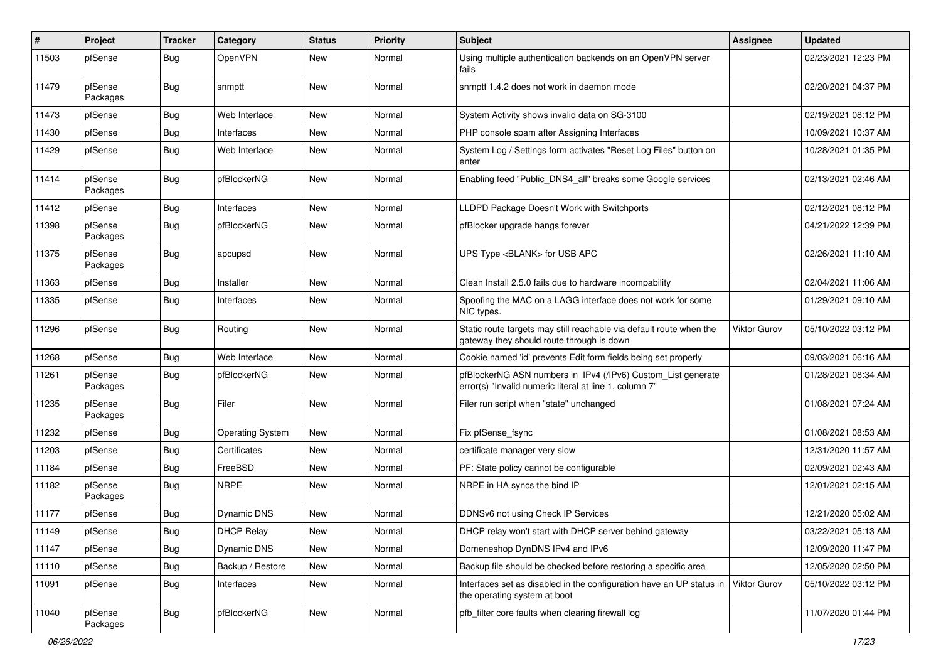| #     | Project             | <b>Tracker</b> | Category                | <b>Status</b> | <b>Priority</b> | Subject                                                                                                                | Assignee     | <b>Updated</b>      |
|-------|---------------------|----------------|-------------------------|---------------|-----------------|------------------------------------------------------------------------------------------------------------------------|--------------|---------------------|
| 11503 | pfSense             | Bug            | OpenVPN                 | New           | Normal          | Using multiple authentication backends on an OpenVPN server<br>fails                                                   |              | 02/23/2021 12:23 PM |
| 11479 | pfSense<br>Packages | Bug            | snmptt                  | New           | Normal          | snmptt 1.4.2 does not work in daemon mode                                                                              |              | 02/20/2021 04:37 PM |
| 11473 | pfSense             | <b>Bug</b>     | Web Interface           | New           | Normal          | System Activity shows invalid data on SG-3100                                                                          |              | 02/19/2021 08:12 PM |
| 11430 | pfSense             | <b>Bug</b>     | Interfaces              | New           | Normal          | PHP console spam after Assigning Interfaces                                                                            |              | 10/09/2021 10:37 AM |
| 11429 | pfSense             | <b>Bug</b>     | Web Interface           | New           | Normal          | System Log / Settings form activates "Reset Log Files" button on<br>enter                                              |              | 10/28/2021 01:35 PM |
| 11414 | pfSense<br>Packages | Bug            | pfBlockerNG             | New           | Normal          | Enabling feed "Public DNS4 all" breaks some Google services                                                            |              | 02/13/2021 02:46 AM |
| 11412 | pfSense             | Bug            | Interfaces              | New           | Normal          | LLDPD Package Doesn't Work with Switchports                                                                            |              | 02/12/2021 08:12 PM |
| 11398 | pfSense<br>Packages | <b>Bug</b>     | pfBlockerNG             | New           | Normal          | pfBlocker upgrade hangs forever                                                                                        |              | 04/21/2022 12:39 PM |
| 11375 | pfSense<br>Packages | Bug            | apcupsd                 | New           | Normal          | UPS Type <blank> for USB APC</blank>                                                                                   |              | 02/26/2021 11:10 AM |
| 11363 | pfSense             | Bug            | Installer               | <b>New</b>    | Normal          | Clean Install 2.5.0 fails due to hardware incompability                                                                |              | 02/04/2021 11:06 AM |
| 11335 | pfSense             | Bug            | Interfaces              | New           | Normal          | Spoofing the MAC on a LAGG interface does not work for some<br>NIC types.                                              |              | 01/29/2021 09:10 AM |
| 11296 | pfSense             | <b>Bug</b>     | Routing                 | New           | Normal          | Static route targets may still reachable via default route when the<br>gateway they should route through is down       | Viktor Gurov | 05/10/2022 03:12 PM |
| 11268 | pfSense             | <b>Bug</b>     | Web Interface           | New           | Normal          | Cookie named 'id' prevents Edit form fields being set properly                                                         |              | 09/03/2021 06:16 AM |
| 11261 | pfSense<br>Packages | Bug            | pfBlockerNG             | New           | Normal          | pfBlockerNG ASN numbers in IPv4 (/IPv6) Custom_List generate<br>error(s) "Invalid numeric literal at line 1, column 7" |              | 01/28/2021 08:34 AM |
| 11235 | pfSense<br>Packages | <b>Bug</b>     | Filer                   | New           | Normal          | Filer run script when "state" unchanged                                                                                |              | 01/08/2021 07:24 AM |
| 11232 | pfSense             | <b>Bug</b>     | <b>Operating System</b> | New           | Normal          | Fix pfSense fsync                                                                                                      |              | 01/08/2021 08:53 AM |
| 11203 | pfSense             | <b>Bug</b>     | Certificates            | New           | Normal          | certificate manager very slow                                                                                          |              | 12/31/2020 11:57 AM |
| 11184 | pfSense             | Bug            | FreeBSD                 | New           | Normal          | PF: State policy cannot be configurable                                                                                |              | 02/09/2021 02:43 AM |
| 11182 | pfSense<br>Packages | <b>Bug</b>     | <b>NRPE</b>             | New           | Normal          | NRPE in HA syncs the bind IP                                                                                           |              | 12/01/2021 02:15 AM |
| 11177 | pfSense             | <b>Bug</b>     | <b>Dynamic DNS</b>      | New           | Normal          | DDNSv6 not using Check IP Services                                                                                     |              | 12/21/2020 05:02 AM |
| 11149 | pfSense             | i Bug          | <b>DHCP Relay</b>       | New           | Normal          | DHCP relay won't start with DHCP server behind gateway                                                                 |              | 03/22/2021 05:13 AM |
| 11147 | pfSense             | <b>Bug</b>     | Dynamic DNS             | New           | Normal          | Domeneshop DynDNS IPv4 and IPv6                                                                                        |              | 12/09/2020 11:47 PM |
| 11110 | pfSense             | <b>Bug</b>     | Backup / Restore        | <b>New</b>    | Normal          | Backup file should be checked before restoring a specific area                                                         |              | 12/05/2020 02:50 PM |
| 11091 | pfSense             | Bug            | Interfaces              | New           | Normal          | Interfaces set as disabled in the configuration have an UP status in<br>the operating system at boot                   | Viktor Gurov | 05/10/2022 03:12 PM |
| 11040 | pfSense<br>Packages | Bug            | pfBlockerNG             | New           | Normal          | pfb filter core faults when clearing firewall log                                                                      |              | 11/07/2020 01:44 PM |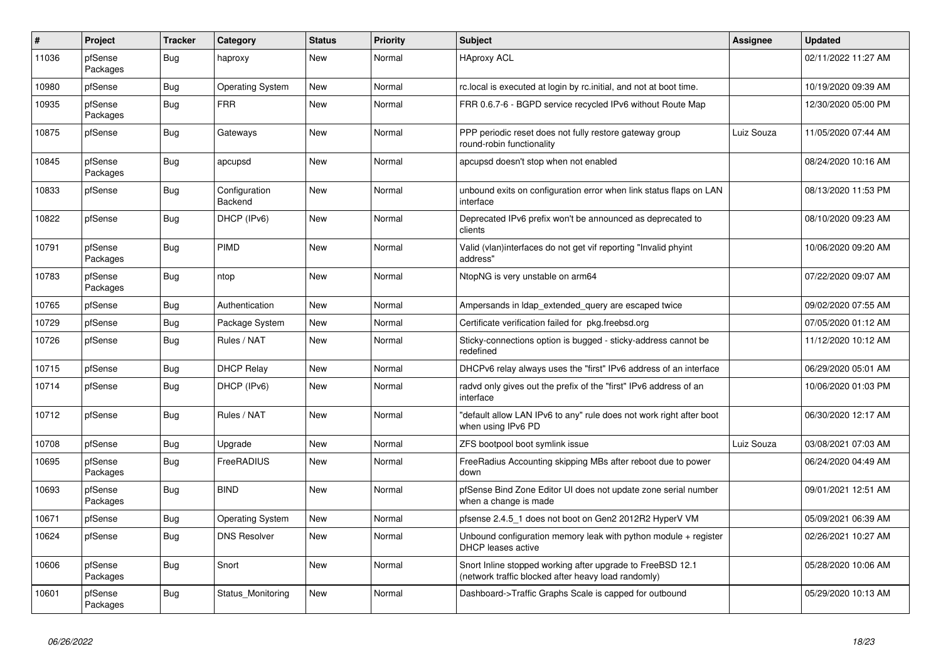| $\sharp$ | Project             | <b>Tracker</b> | Category                 | <b>Status</b> | <b>Priority</b> | <b>Subject</b>                                                                                                    | Assignee   | <b>Updated</b>      |
|----------|---------------------|----------------|--------------------------|---------------|-----------------|-------------------------------------------------------------------------------------------------------------------|------------|---------------------|
| 11036    | pfSense<br>Packages | Bug            | haproxy                  | New           | Normal          | <b>HAproxy ACL</b>                                                                                                |            | 02/11/2022 11:27 AM |
| 10980    | pfSense             | Bug            | <b>Operating System</b>  | New           | Normal          | rc. local is executed at login by rc. initial, and not at boot time.                                              |            | 10/19/2020 09:39 AM |
| 10935    | pfSense<br>Packages | Bug            | <b>FRR</b>               | <b>New</b>    | Normal          | FRR 0.6.7-6 - BGPD service recycled IPv6 without Route Map                                                        |            | 12/30/2020 05:00 PM |
| 10875    | pfSense             | Bug            | Gateways                 | <b>New</b>    | Normal          | PPP periodic reset does not fully restore gateway group<br>round-robin functionality                              | Luiz Souza | 11/05/2020 07:44 AM |
| 10845    | pfSense<br>Packages | <b>Bug</b>     | apcupsd                  | <b>New</b>    | Normal          | apcupsd doesn't stop when not enabled                                                                             |            | 08/24/2020 10:16 AM |
| 10833    | pfSense             | <b>Bug</b>     | Configuration<br>Backend | New           | Normal          | unbound exits on configuration error when link status flaps on LAN<br>interface                                   |            | 08/13/2020 11:53 PM |
| 10822    | pfSense             | <b>Bug</b>     | DHCP (IPv6)              | New           | Normal          | Deprecated IPv6 prefix won't be announced as deprecated to<br>clients                                             |            | 08/10/2020 09:23 AM |
| 10791    | pfSense<br>Packages | <b>Bug</b>     | PIMD                     | <b>New</b>    | Normal          | Valid (vlan)interfaces do not get vif reporting "Invalid phyint<br>address"                                       |            | 10/06/2020 09:20 AM |
| 10783    | pfSense<br>Packages | Bug            | ntop                     | New           | Normal          | NtopNG is very unstable on arm64                                                                                  |            | 07/22/2020 09:07 AM |
| 10765    | pfSense             | <b>Bug</b>     | Authentication           | <b>New</b>    | Normal          | Ampersands in Idap_extended_query are escaped twice                                                               |            | 09/02/2020 07:55 AM |
| 10729    | pfSense             | Bug            | Package System           | New           | Normal          | Certificate verification failed for pkg.freebsd.org                                                               |            | 07/05/2020 01:12 AM |
| 10726    | pfSense             | <b>Bug</b>     | Rules / NAT              | <b>New</b>    | Normal          | Sticky-connections option is bugged - sticky-address cannot be<br>redefined                                       |            | 11/12/2020 10:12 AM |
| 10715    | pfSense             | Bug            | <b>DHCP Relay</b>        | New           | Normal          | DHCPv6 relay always uses the "first" IPv6 address of an interface                                                 |            | 06/29/2020 05:01 AM |
| 10714    | pfSense             | <b>Bug</b>     | DHCP (IPv6)              | <b>New</b>    | Normal          | radvd only gives out the prefix of the "first" IPv6 address of an<br>interface                                    |            | 10/06/2020 01:03 PM |
| 10712    | pfSense             | Bug            | Rules / NAT              | New           | Normal          | "default allow LAN IPv6 to any" rule does not work right after boot<br>when using IPv6 PD                         |            | 06/30/2020 12:17 AM |
| 10708    | pfSense             | <b>Bug</b>     | Upgrade                  | New           | Normal          | ZFS bootpool boot symlink issue                                                                                   | Luiz Souza | 03/08/2021 07:03 AM |
| 10695    | pfSense<br>Packages | <b>Bug</b>     | FreeRADIUS               | New           | Normal          | FreeRadius Accounting skipping MBs after reboot due to power<br>down                                              |            | 06/24/2020 04:49 AM |
| 10693    | pfSense<br>Packages | Bug            | <b>BIND</b>              | New           | Normal          | pfSense Bind Zone Editor UI does not update zone serial number<br>when a change is made                           |            | 09/01/2021 12:51 AM |
| 10671    | pfSense             | Bug            | <b>Operating System</b>  | <b>New</b>    | Normal          | pfsense 2.4.5 1 does not boot on Gen2 2012R2 HyperV VM                                                            |            | 05/09/2021 06:39 AM |
| 10624    | pfSense             | <b>Bug</b>     | <b>DNS Resolver</b>      | New           | Normal          | Unbound configuration memory leak with python module $+$ register<br><b>DHCP</b> leases active                    |            | 02/26/2021 10:27 AM |
| 10606    | pfSense<br>Packages | Bug            | Snort                    | <b>New</b>    | Normal          | Snort Inline stopped working after upgrade to FreeBSD 12.1<br>(network traffic blocked after heavy load randomly) |            | 05/28/2020 10:06 AM |
| 10601    | pfSense<br>Packages | <b>Bug</b>     | Status_Monitoring        | <b>New</b>    | Normal          | Dashboard->Traffic Graphs Scale is capped for outbound                                                            |            | 05/29/2020 10:13 AM |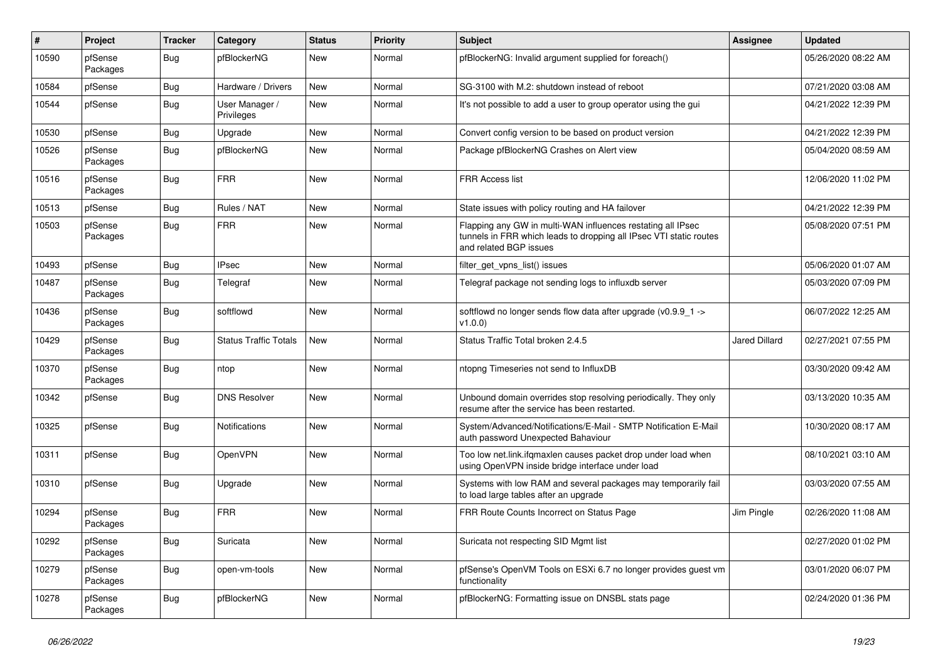| #     | Project             | <b>Tracker</b> | Category                     | <b>Status</b> | <b>Priority</b> | Subject                                                                                                                                                     | <b>Assignee</b> | <b>Updated</b>      |
|-------|---------------------|----------------|------------------------------|---------------|-----------------|-------------------------------------------------------------------------------------------------------------------------------------------------------------|-----------------|---------------------|
| 10590 | pfSense<br>Packages | <b>Bug</b>     | pfBlockerNG                  | New           | Normal          | pfBlockerNG: Invalid argument supplied for foreach()                                                                                                        |                 | 05/26/2020 08:22 AM |
| 10584 | pfSense             | <b>Bug</b>     | Hardware / Drivers           | New           | Normal          | SG-3100 with M.2: shutdown instead of reboot                                                                                                                |                 | 07/21/2020 03:08 AM |
| 10544 | pfSense             | <b>Bug</b>     | User Manager /<br>Privileges | New           | Normal          | It's not possible to add a user to group operator using the gui                                                                                             |                 | 04/21/2022 12:39 PM |
| 10530 | pfSense             | Bug            | Upgrade                      | <b>New</b>    | Normal          | Convert config version to be based on product version                                                                                                       |                 | 04/21/2022 12:39 PM |
| 10526 | pfSense<br>Packages | <b>Bug</b>     | pfBlockerNG                  | New           | Normal          | Package pfBlockerNG Crashes on Alert view                                                                                                                   |                 | 05/04/2020 08:59 AM |
| 10516 | pfSense<br>Packages | <b>Bug</b>     | <b>FRR</b>                   | <b>New</b>    | Normal          | <b>FRR Access list</b>                                                                                                                                      |                 | 12/06/2020 11:02 PM |
| 10513 | pfSense             | Bug            | Rules / NAT                  | New           | Normal          | State issues with policy routing and HA failover                                                                                                            |                 | 04/21/2022 12:39 PM |
| 10503 | pfSense<br>Packages | <b>Bug</b>     | <b>FRR</b>                   | New           | Normal          | Flapping any GW in multi-WAN influences restating all IPsec<br>tunnels in FRR which leads to dropping all IPsec VTI static routes<br>and related BGP issues |                 | 05/08/2020 07:51 PM |
| 10493 | pfSense             | <b>Bug</b>     | <b>IPsec</b>                 | New           | Normal          | filter_get_vpns_list() issues                                                                                                                               |                 | 05/06/2020 01:07 AM |
| 10487 | pfSense<br>Packages | <b>Bug</b>     | Telegraf                     | New           | Normal          | Telegraf package not sending logs to influxdb server                                                                                                        |                 | 05/03/2020 07:09 PM |
| 10436 | pfSense<br>Packages | <b>Bug</b>     | softflowd                    | New           | Normal          | softflowd no longer sends flow data after upgrade ( $v0.9.9$ 1 -><br>v1.0.0                                                                                 |                 | 06/07/2022 12:25 AM |
| 10429 | pfSense<br>Packages | <b>Bug</b>     | <b>Status Traffic Totals</b> | <b>New</b>    | Normal          | Status Traffic Total broken 2.4.5                                                                                                                           | Jared Dillard   | 02/27/2021 07:55 PM |
| 10370 | pfSense<br>Packages | <b>Bug</b>     | ntop                         | New           | Normal          | ntopng Timeseries not send to InfluxDB                                                                                                                      |                 | 03/30/2020 09:42 AM |
| 10342 | pfSense             | <b>Bug</b>     | <b>DNS Resolver</b>          | New           | Normal          | Unbound domain overrides stop resolving periodically. They only<br>resume after the service has been restarted.                                             |                 | 03/13/2020 10:35 AM |
| 10325 | pfSense             | Bug            | <b>Notifications</b>         | New           | Normal          | System/Advanced/Notifications/E-Mail - SMTP Notification E-Mail<br>auth password Unexpected Bahaviour                                                       |                 | 10/30/2020 08:17 AM |
| 10311 | pfSense             | <b>Bug</b>     | OpenVPN                      | New           | Normal          | Too low net.link.ifqmaxlen causes packet drop under load when<br>using OpenVPN inside bridge interface under load                                           |                 | 08/10/2021 03:10 AM |
| 10310 | pfSense             | <b>Bug</b>     | Upgrade                      | <b>New</b>    | Normal          | Systems with low RAM and several packages may temporarily fail<br>to load large tables after an upgrade                                                     |                 | 03/03/2020 07:55 AM |
| 10294 | pfSense<br>Packages | <b>Bug</b>     | <b>FRR</b>                   | New           | Normal          | FRR Route Counts Incorrect on Status Page                                                                                                                   | Jim Pingle      | 02/26/2020 11:08 AM |
| 10292 | pfSense<br>Packages | <b>Bug</b>     | Suricata                     | New           | Normal          | Suricata not respecting SID Mgmt list                                                                                                                       |                 | 02/27/2020 01:02 PM |
| 10279 | pfSense<br>Packages | <b>Bug</b>     | open-vm-tools                | New           | Normal          | pfSense's OpenVM Tools on ESXi 6.7 no longer provides guest vm<br>functionality                                                                             |                 | 03/01/2020 06:07 PM |
| 10278 | pfSense<br>Packages | <b>Bug</b>     | pfBlockerNG                  | New           | Normal          | pfBlockerNG: Formatting issue on DNSBL stats page                                                                                                           |                 | 02/24/2020 01:36 PM |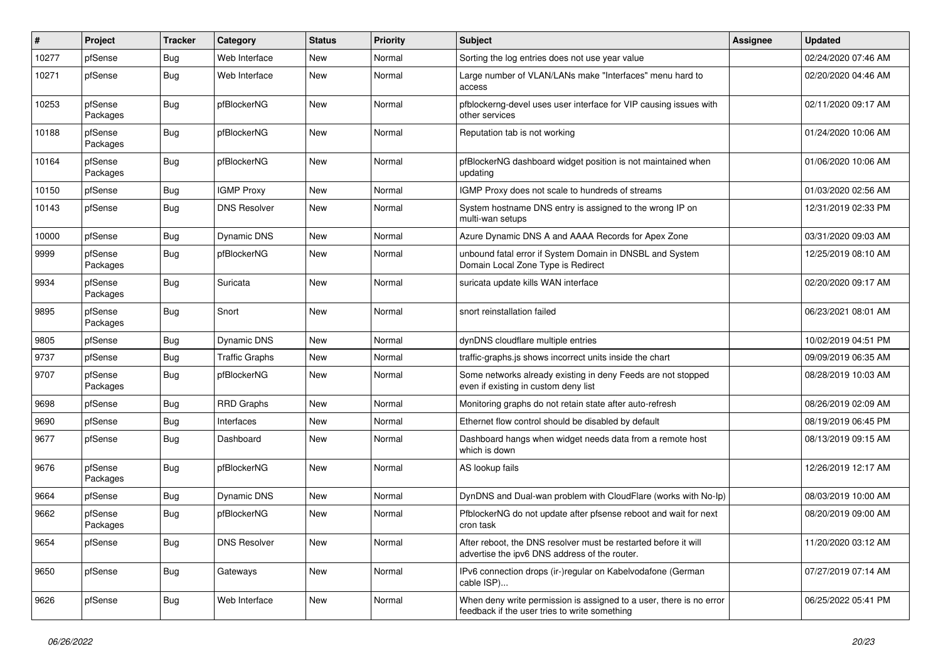| $\pmb{\#}$ | Project             | <b>Tracker</b> | Category              | <b>Status</b> | <b>Priority</b> | Subject                                                                                                              | <b>Assignee</b> | <b>Updated</b>      |
|------------|---------------------|----------------|-----------------------|---------------|-----------------|----------------------------------------------------------------------------------------------------------------------|-----------------|---------------------|
| 10277      | pfSense             | Bug            | Web Interface         | New           | Normal          | Sorting the log entries does not use year value                                                                      |                 | 02/24/2020 07:46 AM |
| 10271      | pfSense             | <b>Bug</b>     | Web Interface         | New           | Normal          | Large number of VLAN/LANs make "Interfaces" menu hard to<br>access                                                   |                 | 02/20/2020 04:46 AM |
| 10253      | pfSense<br>Packages | Bug            | pfBlockerNG           | New           | Normal          | pfblockerng-devel uses user interface for VIP causing issues with<br>other services                                  |                 | 02/11/2020 09:17 AM |
| 10188      | pfSense<br>Packages | <b>Bug</b>     | pfBlockerNG           | <b>New</b>    | Normal          | Reputation tab is not working                                                                                        |                 | 01/24/2020 10:06 AM |
| 10164      | pfSense<br>Packages | <b>Bug</b>     | pfBlockerNG           | <b>New</b>    | Normal          | pfBlockerNG dashboard widget position is not maintained when<br>updating                                             |                 | 01/06/2020 10:06 AM |
| 10150      | pfSense             | Bug            | <b>IGMP Proxy</b>     | <b>New</b>    | Normal          | IGMP Proxy does not scale to hundreds of streams                                                                     |                 | 01/03/2020 02:56 AM |
| 10143      | pfSense             | Bug            | <b>DNS Resolver</b>   | New           | Normal          | System hostname DNS entry is assigned to the wrong IP on<br>multi-wan setups                                         |                 | 12/31/2019 02:33 PM |
| 10000      | pfSense             | <b>Bug</b>     | <b>Dynamic DNS</b>    | <b>New</b>    | Normal          | Azure Dynamic DNS A and AAAA Records for Apex Zone                                                                   |                 | 03/31/2020 09:03 AM |
| 9999       | pfSense<br>Packages | <b>Bug</b>     | pfBlockerNG           | New           | Normal          | unbound fatal error if System Domain in DNSBL and System<br>Domain Local Zone Type is Redirect                       |                 | 12/25/2019 08:10 AM |
| 9934       | pfSense<br>Packages | <b>Bug</b>     | Suricata              | <b>New</b>    | Normal          | suricata update kills WAN interface                                                                                  |                 | 02/20/2020 09:17 AM |
| 9895       | pfSense<br>Packages | Bug            | Snort                 | <b>New</b>    | Normal          | snort reinstallation failed                                                                                          |                 | 06/23/2021 08:01 AM |
| 9805       | pfSense             | Bug            | Dynamic DNS           | New           | Normal          | dynDNS cloudflare multiple entries                                                                                   |                 | 10/02/2019 04:51 PM |
| 9737       | pfSense             | <b>Bug</b>     | <b>Traffic Graphs</b> | New           | Normal          | traffic-graphs.js shows incorrect units inside the chart                                                             |                 | 09/09/2019 06:35 AM |
| 9707       | pfSense<br>Packages | <b>Bug</b>     | pfBlockerNG           | New           | Normal          | Some networks already existing in deny Feeds are not stopped<br>even if existing in custom deny list                 |                 | 08/28/2019 10:03 AM |
| 9698       | pfSense             | <b>Bug</b>     | <b>RRD Graphs</b>     | <b>New</b>    | Normal          | Monitoring graphs do not retain state after auto-refresh                                                             |                 | 08/26/2019 02:09 AM |
| 9690       | pfSense             | Bug            | Interfaces            | New           | Normal          | Ethernet flow control should be disabled by default                                                                  |                 | 08/19/2019 06:45 PM |
| 9677       | pfSense             | Bug            | Dashboard             | New           | Normal          | Dashboard hangs when widget needs data from a remote host<br>which is down                                           |                 | 08/13/2019 09:15 AM |
| 9676       | pfSense<br>Packages | Bug            | pfBlockerNG           | New           | Normal          | AS lookup fails                                                                                                      |                 | 12/26/2019 12:17 AM |
| 9664       | pfSense             | Bug            | Dynamic DNS           | New           | Normal          | DynDNS and Dual-wan problem with CloudFlare (works with No-Ip)                                                       |                 | 08/03/2019 10:00 AM |
| 9662       | pfSense<br>Packages | <b>Bug</b>     | pfBlockerNG           | New           | Normal          | PfblockerNG do not update after pfsense reboot and wait for next<br>cron task                                        |                 | 08/20/2019 09:00 AM |
| 9654       | pfSense             | Bug            | <b>DNS Resolver</b>   | New           | Normal          | After reboot, the DNS resolver must be restarted before it will<br>advertise the ipv6 DNS address of the router.     |                 | 11/20/2020 03:12 AM |
| 9650       | pfSense             | Bug            | Gateways              | New           | Normal          | IPv6 connection drops (ir-)regular on Kabelvodafone (German<br>cable ISP)                                            |                 | 07/27/2019 07:14 AM |
| 9626       | pfSense             | Bug            | Web Interface         | New           | Normal          | When deny write permission is assigned to a user, there is no error<br>feedback if the user tries to write something |                 | 06/25/2022 05:41 PM |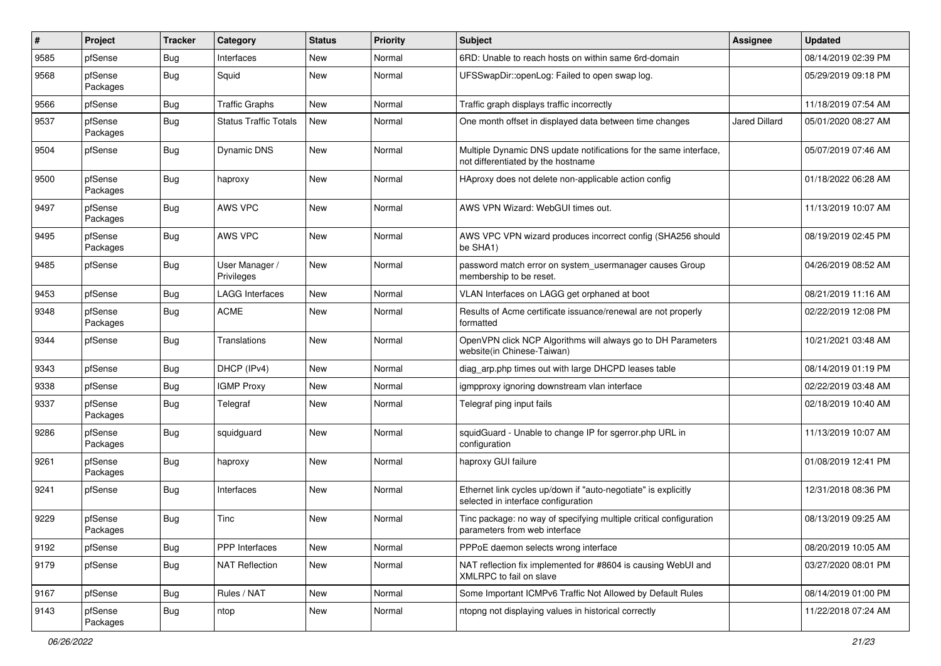| #    | Project             | <b>Tracker</b> | Category                     | <b>Status</b> | <b>Priority</b> | Subject                                                                                                 | <b>Assignee</b> | <b>Updated</b>      |
|------|---------------------|----------------|------------------------------|---------------|-----------------|---------------------------------------------------------------------------------------------------------|-----------------|---------------------|
| 9585 | pfSense             | <b>Bug</b>     | Interfaces                   | New           | Normal          | 6RD: Unable to reach hosts on within same 6rd-domain                                                    |                 | 08/14/2019 02:39 PM |
| 9568 | pfSense<br>Packages | <b>Bug</b>     | Squid                        | New           | Normal          | UFSSwapDir::openLog: Failed to open swap log.                                                           |                 | 05/29/2019 09:18 PM |
| 9566 | pfSense             | <b>Bug</b>     | <b>Traffic Graphs</b>        | New           | Normal          | Traffic graph displays traffic incorrectly                                                              |                 | 11/18/2019 07:54 AM |
| 9537 | pfSense<br>Packages | <b>Bug</b>     | <b>Status Traffic Totals</b> | New           | Normal          | One month offset in displayed data between time changes                                                 | Jared Dillard   | 05/01/2020 08:27 AM |
| 9504 | pfSense             | Bug            | <b>Dynamic DNS</b>           | New           | Normal          | Multiple Dynamic DNS update notifications for the same interface,<br>not differentiated by the hostname |                 | 05/07/2019 07:46 AM |
| 9500 | pfSense<br>Packages | <b>Bug</b>     | haproxy                      | New           | Normal          | HAproxy does not delete non-applicable action config                                                    |                 | 01/18/2022 06:28 AM |
| 9497 | pfSense<br>Packages | <b>Bug</b>     | <b>AWS VPC</b>               | New           | Normal          | AWS VPN Wizard: WebGUI times out.                                                                       |                 | 11/13/2019 10:07 AM |
| 9495 | pfSense<br>Packages | <b>Bug</b>     | <b>AWS VPC</b>               | New           | Normal          | AWS VPC VPN wizard produces incorrect config (SHA256 should<br>be SHA1)                                 |                 | 08/19/2019 02:45 PM |
| 9485 | pfSense             | <b>Bug</b>     | User Manager /<br>Privileges | New           | Normal          | password match error on system_usermanager causes Group<br>membership to be reset.                      |                 | 04/26/2019 08:52 AM |
| 9453 | pfSense             | Bug            | <b>LAGG Interfaces</b>       | New           | Normal          | VLAN Interfaces on LAGG get orphaned at boot                                                            |                 | 08/21/2019 11:16 AM |
| 9348 | pfSense<br>Packages | <b>Bug</b>     | <b>ACME</b>                  | New           | Normal          | Results of Acme certificate issuance/renewal are not properly<br>formatted                              |                 | 02/22/2019 12:08 PM |
| 9344 | pfSense             | <b>Bug</b>     | Translations                 | New           | Normal          | OpenVPN click NCP Algorithms will always go to DH Parameters<br>website(in Chinese-Taiwan)              |                 | 10/21/2021 03:48 AM |
| 9343 | pfSense             | <b>Bug</b>     | DHCP (IPv4)                  | New           | Normal          | diag_arp.php times out with large DHCPD leases table                                                    |                 | 08/14/2019 01:19 PM |
| 9338 | pfSense             | <b>Bug</b>     | <b>IGMP Proxy</b>            | New           | Normal          | igmpproxy ignoring downstream vlan interface                                                            |                 | 02/22/2019 03:48 AM |
| 9337 | pfSense<br>Packages | <b>Bug</b>     | Telegraf                     | New           | Normal          | Telegraf ping input fails                                                                               |                 | 02/18/2019 10:40 AM |
| 9286 | pfSense<br>Packages | <b>Bug</b>     | squidguard                   | New           | Normal          | squidGuard - Unable to change IP for sgerror.php URL in<br>configuration                                |                 | 11/13/2019 10:07 AM |
| 9261 | pfSense<br>Packages | <b>Bug</b>     | haproxy                      | New           | Normal          | haproxy GUI failure                                                                                     |                 | 01/08/2019 12:41 PM |
| 9241 | pfSense             | <b>Bug</b>     | Interfaces                   | New           | Normal          | Ethernet link cycles up/down if "auto-negotiate" is explicitly<br>selected in interface configuration   |                 | 12/31/2018 08:36 PM |
| 9229 | pfSense<br>Packages | Bug            | Tinc                         | New           | Normal          | Tinc package: no way of specifying multiple critical configuration<br>parameters from web interface     |                 | 08/13/2019 09:25 AM |
| 9192 | pfSense             | Bug            | PPP Interfaces               | New           | Normal          | PPPoE daemon selects wrong interface                                                                    |                 | 08/20/2019 10:05 AM |
| 9179 | pfSense             | <b>Bug</b>     | <b>NAT Reflection</b>        | New           | Normal          | NAT reflection fix implemented for #8604 is causing WebUI and<br>XMLRPC to fail on slave                |                 | 03/27/2020 08:01 PM |
| 9167 | pfSense             | Bug            | Rules / NAT                  | New           | Normal          | Some Important ICMPv6 Traffic Not Allowed by Default Rules                                              |                 | 08/14/2019 01:00 PM |
| 9143 | pfSense<br>Packages | <b>Bug</b>     | ntop                         | New           | Normal          | ntopng not displaying values in historical correctly                                                    |                 | 11/22/2018 07:24 AM |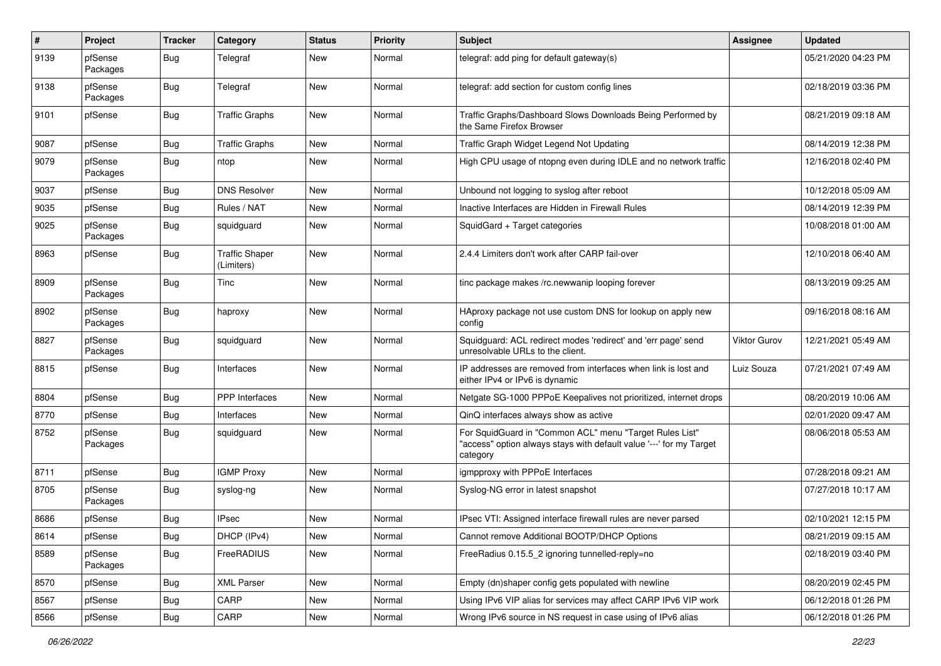| $\pmb{\#}$ | Project             | <b>Tracker</b> | Category                            | <b>Status</b> | <b>Priority</b> | <b>Subject</b>                                                                                                                             | Assignee            | <b>Updated</b>      |
|------------|---------------------|----------------|-------------------------------------|---------------|-----------------|--------------------------------------------------------------------------------------------------------------------------------------------|---------------------|---------------------|
| 9139       | pfSense<br>Packages | Bug            | Telegraf                            | New           | Normal          | telegraf: add ping for default gateway(s)                                                                                                  |                     | 05/21/2020 04:23 PM |
| 9138       | pfSense<br>Packages | <b>Bug</b>     | Telegraf                            | New           | Normal          | telegraf: add section for custom config lines                                                                                              |                     | 02/18/2019 03:36 PM |
| 9101       | pfSense             | <b>Bug</b>     | <b>Traffic Graphs</b>               | <b>New</b>    | Normal          | Traffic Graphs/Dashboard Slows Downloads Being Performed by<br>the Same Firefox Browser                                                    |                     | 08/21/2019 09:18 AM |
| 9087       | pfSense             | Bug            | <b>Traffic Graphs</b>               | New           | Normal          | Traffic Graph Widget Legend Not Updating                                                                                                   |                     | 08/14/2019 12:38 PM |
| 9079       | pfSense<br>Packages | <b>Bug</b>     | ntop                                | New           | Normal          | High CPU usage of ntopng even during IDLE and no network traffic                                                                           |                     | 12/16/2018 02:40 PM |
| 9037       | pfSense             | <b>Bug</b>     | <b>DNS Resolver</b>                 | New           | Normal          | Unbound not logging to syslog after reboot                                                                                                 |                     | 10/12/2018 05:09 AM |
| 9035       | pfSense             | <b>Bug</b>     | Rules / NAT                         | New           | Normal          | Inactive Interfaces are Hidden in Firewall Rules                                                                                           |                     | 08/14/2019 12:39 PM |
| 9025       | pfSense<br>Packages | <b>Bug</b>     | squidguard                          | New           | Normal          | SquidGard + Target categories                                                                                                              |                     | 10/08/2018 01:00 AM |
| 8963       | pfSense             | <b>Bug</b>     | <b>Traffic Shaper</b><br>(Limiters) | New           | Normal          | 2.4.4 Limiters don't work after CARP fail-over                                                                                             |                     | 12/10/2018 06:40 AM |
| 8909       | pfSense<br>Packages | <b>Bug</b>     | Tinc                                | New           | Normal          | tinc package makes /rc.newwanip looping forever                                                                                            |                     | 08/13/2019 09:25 AM |
| 8902       | pfSense<br>Packages | <b>Bug</b>     | haproxy                             | New           | Normal          | HAproxy package not use custom DNS for lookup on apply new<br>config                                                                       |                     | 09/16/2018 08:16 AM |
| 8827       | pfSense<br>Packages | <b>Bug</b>     | squidguard                          | New           | Normal          | Squidguard: ACL redirect modes 'redirect' and 'err page' send<br>unresolvable URLs to the client.                                          | <b>Viktor Gurov</b> | 12/21/2021 05:49 AM |
| 8815       | pfSense             | Bug            | Interfaces                          | New           | Normal          | IP addresses are removed from interfaces when link is lost and<br>either IPv4 or IPv6 is dynamic                                           | Luiz Souza          | 07/21/2021 07:49 AM |
| 8804       | pfSense             | <b>Bug</b>     | PPP Interfaces                      | New           | Normal          | Netgate SG-1000 PPPoE Keepalives not prioritized, internet drops                                                                           |                     | 08/20/2019 10:06 AM |
| 8770       | pfSense             | <b>Bug</b>     | Interfaces                          | New           | Normal          | QinQ interfaces always show as active                                                                                                      |                     | 02/01/2020 09:47 AM |
| 8752       | pfSense<br>Packages | <b>Bug</b>     | squidguard                          | New           | Normal          | For SquidGuard in "Common ACL" menu "Target Rules List"<br>"access" option always stays with default value '---' for my Target<br>category |                     | 08/06/2018 05:53 AM |
| 8711       | pfSense             | <b>Bug</b>     | <b>IGMP Proxy</b>                   | <b>New</b>    | Normal          | igmpproxy with PPPoE Interfaces                                                                                                            |                     | 07/28/2018 09:21 AM |
| 8705       | pfSense<br>Packages | <b>Bug</b>     | syslog-ng                           | New           | Normal          | Syslog-NG error in latest snapshot                                                                                                         |                     | 07/27/2018 10:17 AM |
| 8686       | pfSense             | <b>Bug</b>     | <b>IPsec</b>                        | New           | Normal          | IPsec VTI: Assigned interface firewall rules are never parsed                                                                              |                     | 02/10/2021 12:15 PM |
| 8614       | pfSense             | <b>Bug</b>     | DHCP (IPv4)                         | <b>New</b>    | Normal          | Cannot remove Additional BOOTP/DHCP Options                                                                                                |                     | 08/21/2019 09:15 AM |
| 8589       | pfSense<br>Packages | <b>Bug</b>     | FreeRADIUS                          | New           | Normal          | FreeRadius 0.15.5 2 ignoring tunnelled-reply=no                                                                                            |                     | 02/18/2019 03:40 PM |
| 8570       | pfSense             | <b>Bug</b>     | <b>XML Parser</b>                   | New           | Normal          | Empty (dn)shaper config gets populated with newline                                                                                        |                     | 08/20/2019 02:45 PM |
| 8567       | pfSense             | Bug            | CARP                                | New           | Normal          | Using IPv6 VIP alias for services may affect CARP IPv6 VIP work                                                                            |                     | 06/12/2018 01:26 PM |
| 8566       | pfSense             | Bug            | CARP                                | New           | Normal          | Wrong IPv6 source in NS request in case using of IPv6 alias                                                                                |                     | 06/12/2018 01:26 PM |